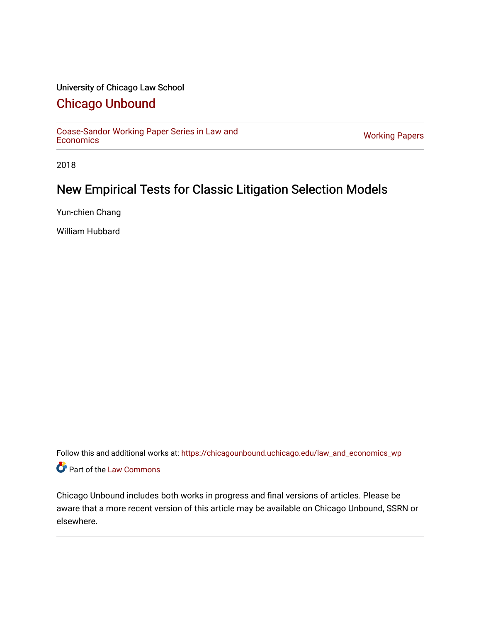## University of Chicago Law School

# [Chicago Unbound](https://chicagounbound.uchicago.edu/)

[Coase-Sandor Working Paper Series in Law and](https://chicagounbound.uchicago.edu/law_and_economics_wp) [Economics](https://chicagounbound.uchicago.edu/law_and_economics_wp) [Working Papers](https://chicagounbound.uchicago.edu/working_papers) 

2018

# New Empirical Tests for Classic Litigation Selection Models

Yun-chien Chang

William Hubbard

Follow this and additional works at: [https://chicagounbound.uchicago.edu/law\\_and\\_economics\\_wp](https://chicagounbound.uchicago.edu/law_and_economics_wp?utm_source=chicagounbound.uchicago.edu%2Flaw_and_economics_wp%2F80&utm_medium=PDF&utm_campaign=PDFCoverPages)  Part of the [Law Commons](http://network.bepress.com/hgg/discipline/578?utm_source=chicagounbound.uchicago.edu%2Flaw_and_economics_wp%2F80&utm_medium=PDF&utm_campaign=PDFCoverPages)

Chicago Unbound includes both works in progress and final versions of articles. Please be aware that a more recent version of this article may be available on Chicago Unbound, SSRN or elsewhere.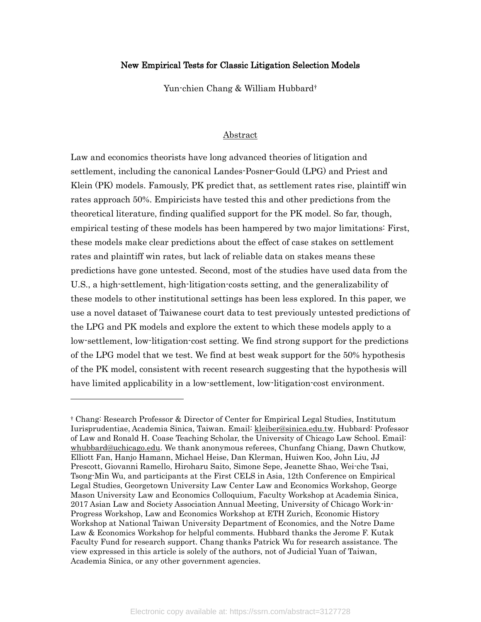### New Empirical Tests for Classic Litigation Selection Models

Yun-chien Chang & William Hubbard[†](#page-1-0)

### Abstract

Law and economics theorists have long advanced theories of litigation and settlement, including the canonical Landes-Posner-Gould (LPG) and Priest and Klein (PK) models. Famously, PK predict that, as settlement rates rise, plaintiff win rates approach 50%. Empiricists have tested this and other predictions from the theoretical literature, finding qualified support for the PK model. So far, though, empirical testing of these models has been hampered by two major limitations: First, these models make clear predictions about the effect of case stakes on settlement rates and plaintiff win rates, but lack of reliable data on stakes means these predictions have gone untested. Second, most of the studies have used data from the U.S., a high-settlement, high-litigation-costs setting, and the generalizability of these models to other institutional settings has been less explored. In this paper, we use a novel dataset of Taiwanese court data to test previously untested predictions of the LPG and PK models and explore the extent to which these models apply to a low-settlement, low-litigation-cost setting. We find strong support for the predictions of the LPG model that we test. We find at best weak support for the 50% hypothesis of the PK model, consistent with recent research suggesting that the hypothesis will have limited applicability in a low-settlement, low-litigation-cost environment.

<span id="page-1-0"></span><sup>†</sup> Chang: Research Professor & Director of Center for Empirical Legal Studies, Institutum Iurisprudentiae, Academia Sinica, Taiwan. Email: [kleiber@sinica.edu.tw.](mailto:kleiber@sinica.edu.tw) Hubbard: Professor of Law and Ronald H. Coase Teaching Scholar, the University of Chicago Law School. Email: [whubbard@uchicago.edu.](mailto:whubbard@uchicago.edu) We thank anonymous referees, Chunfang Chiang, Dawn Chutkow, Elliott Fan, Hanjo Hamann, Michael Heise, Dan Klerman, Huiwen Koo, John Liu, JJ Prescott, Giovanni Ramello, Hiroharu Saito, Simone Sepe, Jeanette Shao, Wei-che Tsai, Tsong-Min Wu, and participants at the First CELS in Asia, 12th Conference on Empirical Legal Studies, Georgetown University Law Center Law and Economics Workshop, George Mason University Law and Economics Colloquium, Faculty Workshop at Academia Sinica, 2017 Asian Law and Society Association Annual Meeting, University of Chicago Work-in-Progress Workshop, Law and Economics Workshop at ETH Zurich, Economic History Workshop at National Taiwan University Department of Economics, and the Notre Dame Law & Economics Workshop for helpful comments. Hubbard thanks the Jerome F. Kutak Faculty Fund for research support. Chang thanks Patrick Wu for research assistance. The view expressed in this article is solely of the authors, not of Judicial Yuan of Taiwan, Academia Sinica, or any other government agencies.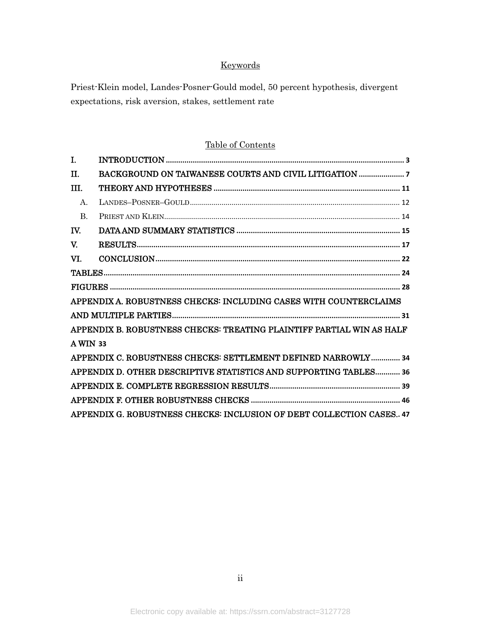## Keywords

Priest-Klein model, Landes-Posner-Gould model, 50 percent hypothesis, divergent expectations, risk aversion, stakes, settlement rate

## Table of Contents

| I.             |                                                                       |
|----------------|-----------------------------------------------------------------------|
| TT.            |                                                                       |
| TIT.           |                                                                       |
| $\mathbf{A}$ . |                                                                       |
| $\mathbf{B}$   |                                                                       |
| TV.            |                                                                       |
| V.             |                                                                       |
| VI.            |                                                                       |
|                |                                                                       |
|                |                                                                       |
|                | APPENDIX A. ROBUSTNESS CHECKS: INCLUDING CASES WITH COUNTERCLAIMS     |
|                |                                                                       |
|                | APPENDIX B. ROBUSTNESS CHECKS: TREATING PLAINTIFF PARTIAL WIN AS HALF |
| A WIN 33       |                                                                       |
|                | APPENDIX C. ROBUSTNESS CHECKS: SETTLEMENT DEFINED NARROWLY 34         |
|                | APPENDIX D. OTHER DESCRIPTIVE STATISTICS AND SUPPORTING TABLES 36     |
|                |                                                                       |
|                |                                                                       |
|                | APPENDIX G. ROBUSTNESS CHECKS: INCLUSION OF DEBT COLLECTION CASES 47  |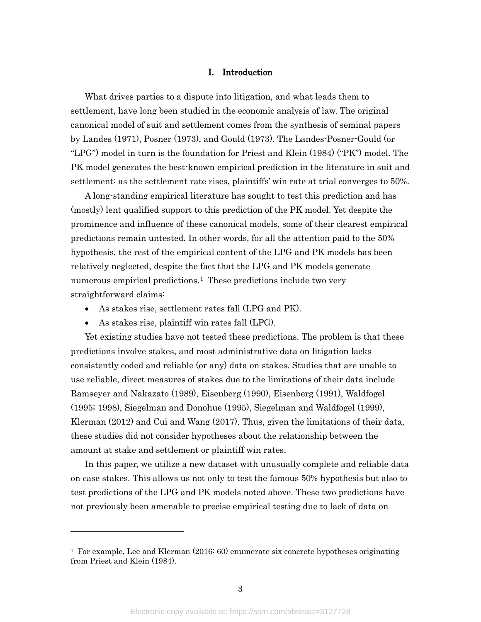### I. Introduction

<span id="page-3-0"></span>What drives parties to a dispute into litigation, and what leads them to settlement, have long been studied in the economic analysis of law. The original canonical model of suit and settlement comes from the synthesis of seminal papers by Landes (1971), Posner (1973), and Gould (1973). The Landes-Posner-Gould (or "LPG") model in turn is the foundation for Priest and Klein (1984) ("PK") model. The PK model generates the best-known empirical prediction in the literature in suit and settlement: as the settlement rate rises, plaintiffs' win rate at trial converges to 50%.

A long-standing empirical literature has sought to test this prediction and has (mostly) lent qualified support to this prediction of the PK model. Yet despite the prominence and influence of these canonical models, some of their clearest empirical predictions remain untested. In other words, for all the attention paid to the 50% hypothesis, the rest of the empirical content of the LPG and PK models has been relatively neglected, despite the fact that the LPG and PK models generate numerous empirical predictions.<sup>[1](#page-3-1)</sup> These predictions include two very straightforward claims:

- As stakes rise, settlement rates fall (LPG and PK).
- As stakes rise, plaintiff win rates fall (LPG).

 $\overline{a}$ 

Yet existing studies have not tested these predictions. The problem is that these predictions involve stakes, and most administrative data on litigation lacks consistently coded and reliable (or any) data on stakes. Studies that are unable to use reliable, direct measures of stakes due to the limitations of their data include Ramseyer and Nakazato (1989), Eisenberg (1990), Eisenberg (1991), Waldfogel (1995; 1998), Siegelman and Donohue (1995), Siegelman and Waldfogel (1999), Klerman (2012) and Cui and Wang (2017). Thus, given the limitations of their data, these studies did not consider hypotheses about the relationship between the amount at stake and settlement or plaintiff win rates.

In this paper, we utilize a new dataset with unusually complete and reliable data on case stakes. This allows us not only to test the famous 50% hypothesis but also to test predictions of the LPG and PK models noted above. These two predictions have not previously been amenable to precise empirical testing due to lack of data on

<span id="page-3-1"></span><sup>&</sup>lt;sup>1</sup> For example, Lee and Klerman  $(2016: 60)$  enumerate six concrete hypotheses originating from Priest and Klein (1984).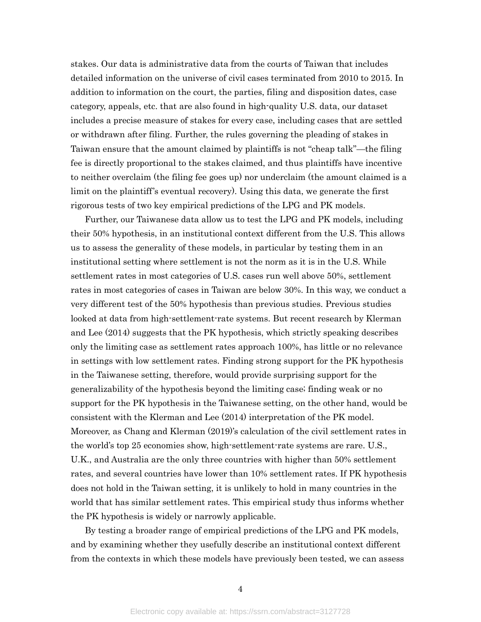stakes. Our data is administrative data from the courts of Taiwan that includes detailed information on the universe of civil cases terminated from 2010 to 2015. In addition to information on the court, the parties, filing and disposition dates, case category, appeals, etc. that are also found in high-quality U.S. data, our dataset includes a precise measure of stakes for every case, including cases that are settled or withdrawn after filing. Further, the rules governing the pleading of stakes in Taiwan ensure that the amount claimed by plaintiffs is not "cheap talk"—the filing fee is directly proportional to the stakes claimed, and thus plaintiffs have incentive to neither overclaim (the filing fee goes up) nor underclaim (the amount claimed is a limit on the plaintiff's eventual recovery). Using this data, we generate the first rigorous tests of two key empirical predictions of the LPG and PK models.

Further, our Taiwanese data allow us to test the LPG and PK models, including their 50% hypothesis, in an institutional context different from the U.S. This allows us to assess the generality of these models, in particular by testing them in an institutional setting where settlement is not the norm as it is in the U.S. While settlement rates in most categories of U.S. cases run well above 50%, settlement rates in most categories of cases in Taiwan are below 30%. In this way, we conduct a very different test of the 50% hypothesis than previous studies. Previous studies looked at data from high-settlement-rate systems. But recent research by Klerman and Lee (2014) suggests that the PK hypothesis, which strictly speaking describes only the limiting case as settlement rates approach 100%, has little or no relevance in settings with low settlement rates. Finding strong support for the PK hypothesis in the Taiwanese setting, therefore, would provide surprising support for the generalizability of the hypothesis beyond the limiting case; finding weak or no support for the PK hypothesis in the Taiwanese setting, on the other hand, would be consistent with the Klerman and Lee (2014) interpretation of the PK model. Moreover, as Chang and Klerman (2019)'s calculation of the civil settlement rates in the world's top 25 economies show, high-settlement-rate systems are rare. U.S., U.K., and Australia are the only three countries with higher than 50% settlement rates, and several countries have lower than 10% settlement rates. If PK hypothesis does not hold in the Taiwan setting, it is unlikely to hold in many countries in the world that has similar settlement rates. This empirical study thus informs whether the PK hypothesis is widely or narrowly applicable.

By testing a broader range of empirical predictions of the LPG and PK models, and by examining whether they usefully describe an institutional context different from the contexts in which these models have previously been tested, we can assess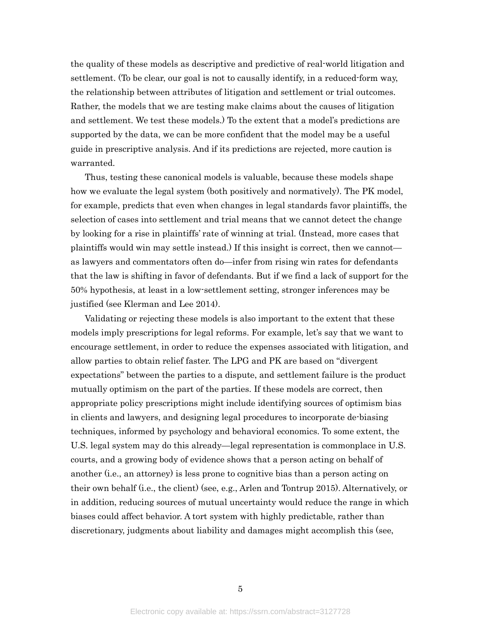the quality of these models as descriptive and predictive of real-world litigation and settlement. (To be clear, our goal is not to causally identify, in a reduced-form way, the relationship between attributes of litigation and settlement or trial outcomes. Rather, the models that we are testing make claims about the causes of litigation and settlement. We test these models.) To the extent that a model's predictions are supported by the data, we can be more confident that the model may be a useful guide in prescriptive analysis. And if its predictions are rejected, more caution is warranted.

Thus, testing these canonical models is valuable, because these models shape how we evaluate the legal system (both positively and normatively). The PK model, for example, predicts that even when changes in legal standards favor plaintiffs, the selection of cases into settlement and trial means that we cannot detect the change by looking for a rise in plaintiffs' rate of winning at trial. (Instead, more cases that plaintiffs would win may settle instead.) If this insight is correct, then we cannot as lawyers and commentators often do—infer from rising win rates for defendants that the law is shifting in favor of defendants. But if we find a lack of support for the 50% hypothesis, at least in a low-settlement setting, stronger inferences may be justified (see Klerman and Lee 2014).

Validating or rejecting these models is also important to the extent that these models imply prescriptions for legal reforms. For example, let's say that we want to encourage settlement, in order to reduce the expenses associated with litigation, and allow parties to obtain relief faster. The LPG and PK are based on "divergent expectations" between the parties to a dispute, and settlement failure is the product mutually optimism on the part of the parties. If these models are correct, then appropriate policy prescriptions might include identifying sources of optimism bias in clients and lawyers, and designing legal procedures to incorporate de-biasing techniques, informed by psychology and behavioral economics. To some extent, the U.S. legal system may do this already—legal representation is commonplace in U.S. courts, and a growing body of evidence shows that a person acting on behalf of another (i.e., an attorney) is less prone to cognitive bias than a person acting on their own behalf (i.e., the client) (see, e.g., Arlen and Tontrup 2015). Alternatively, or in addition, reducing sources of mutual uncertainty would reduce the range in which biases could affect behavior. A tort system with highly predictable, rather than discretionary, judgments about liability and damages might accomplish this (see,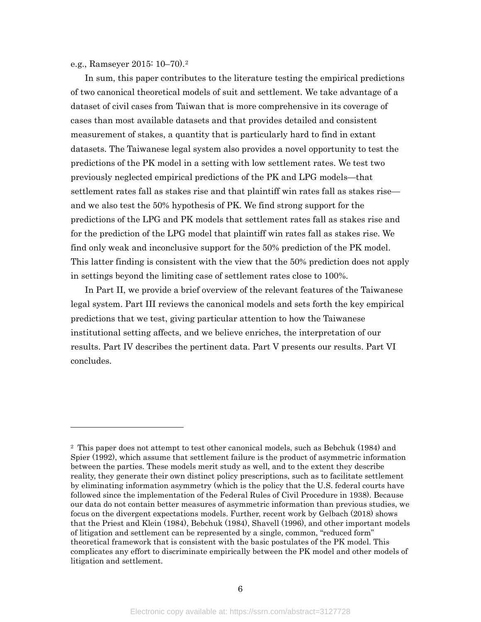e.g., Ramseyer 2015: 10–70).[2](#page-6-0)

 $\overline{a}$ 

In sum, this paper contributes to the literature testing the empirical predictions of two canonical theoretical models of suit and settlement. We take advantage of a dataset of civil cases from Taiwan that is more comprehensive in its coverage of cases than most available datasets and that provides detailed and consistent measurement of stakes, a quantity that is particularly hard to find in extant datasets. The Taiwanese legal system also provides a novel opportunity to test the predictions of the PK model in a setting with low settlement rates. We test two previously neglected empirical predictions of the PK and LPG models—that settlement rates fall as stakes rise and that plaintiff win rates fall as stakes rise and we also test the 50% hypothesis of PK. We find strong support for the predictions of the LPG and PK models that settlement rates fall as stakes rise and for the prediction of the LPG model that plaintiff win rates fall as stakes rise. We find only weak and inconclusive support for the 50% prediction of the PK model. This latter finding is consistent with the view that the 50% prediction does not apply in settings beyond the limiting case of settlement rates close to 100%.

In Part II, we provide a brief overview of the relevant features of the Taiwanese legal system. Part III reviews the canonical models and sets forth the key empirical predictions that we test, giving particular attention to how the Taiwanese institutional setting affects, and we believe enriches, the interpretation of our results. Part IV describes the pertinent data. Part V presents our results. Part VI concludes.

<span id="page-6-0"></span><sup>2</sup> This paper does not attempt to test other canonical models, such as Bebchuk (1984) and Spier (1992), which assume that settlement failure is the product of asymmetric information between the parties. These models merit study as well, and to the extent they describe reality, they generate their own distinct policy prescriptions, such as to facilitate settlement by eliminating information asymmetry (which is the policy that the U.S. federal courts have followed since the implementation of the Federal Rules of Civil Procedure in 1938). Because our data do not contain better measures of asymmetric information than previous studies, we focus on the divergent expectations models. Further, recent work by Gelbach (2018) shows that the Priest and Klein (1984), Bebchuk (1984), Shavell (1996), and other important models of litigation and settlement can be represented by a single, common, "reduced form" theoretical framework that is consistent with the basic postulates of the PK model. This complicates any effort to discriminate empirically between the PK model and other models of litigation and settlement.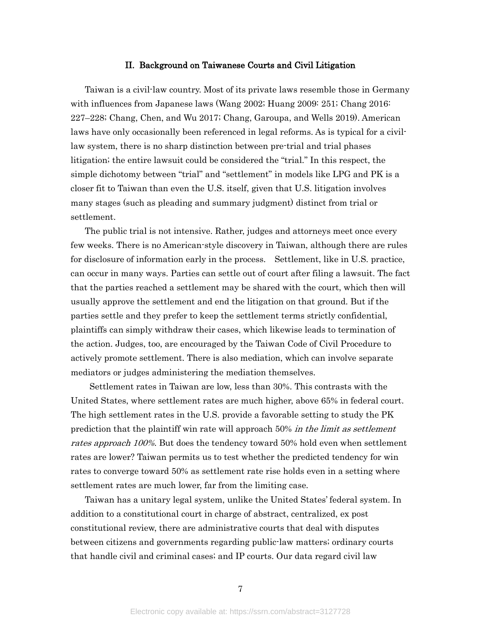#### II. Background on Taiwanese Courts and Civil Litigation

<span id="page-7-0"></span>Taiwan is a civil-law country. Most of its private laws resemble those in Germany with influences from Japanese laws (Wang 2002; Huang 2009: 251; Chang 2016: 227–228; Chang, Chen, and Wu 2017; Chang, Garoupa, and Wells 2019). American laws have only occasionally been referenced in legal reforms. As is typical for a civillaw system, there is no sharp distinction between pre-trial and trial phases litigation; the entire lawsuit could be considered the "trial." In this respect, the simple dichotomy between "trial" and "settlement" in models like LPG and PK is a closer fit to Taiwan than even the U.S. itself, given that U.S. litigation involves many stages (such as pleading and summary judgment) distinct from trial or settlement.

The public trial is not intensive. Rather, judges and attorneys meet once every few weeks. There is no American-style discovery in Taiwan, although there are rules for disclosure of information early in the process. Settlement, like in U.S. practice, can occur in many ways. Parties can settle out of court after filing a lawsuit. The fact that the parties reached a settlement may be shared with the court, which then will usually approve the settlement and end the litigation on that ground. But if the parties settle and they prefer to keep the settlement terms strictly confidential, plaintiffs can simply withdraw their cases, which likewise leads to termination of the action. Judges, too, are encouraged by the Taiwan Code of Civil Procedure to actively promote settlement. There is also mediation, which can involve separate mediators or judges administering the mediation themselves.

Settlement rates in Taiwan are low, less than 30%. This contrasts with the United States, where settlement rates are much higher, above 65% in federal court. The high settlement rates in the U.S. provide a favorable setting to study the PK prediction that the plaintiff win rate will approach 50% in the limit as settlement rates approach 100%. But does the tendency toward 50% hold even when settlement rates are lower? Taiwan permits us to test whether the predicted tendency for win rates to converge toward 50% as settlement rate rise holds even in a setting where settlement rates are much lower, far from the limiting case.

Taiwan has a unitary legal system, unlike the United States' federal system. In addition to a constitutional court in charge of abstract, centralized, ex post constitutional review, there are administrative courts that deal with disputes between citizens and governments regarding public-law matters; ordinary courts that handle civil and criminal cases; and IP courts. Our data regard civil law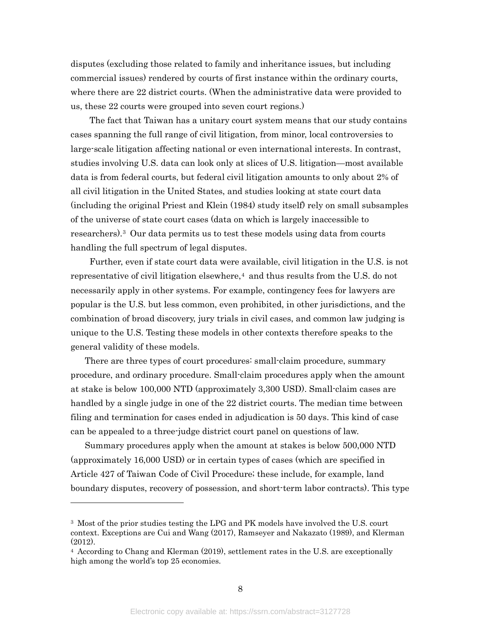disputes (excluding those related to family and inheritance issues, but including commercial issues) rendered by courts of first instance within the ordinary courts, where there are 22 district courts. (When the administrative data were provided to us, these 22 courts were grouped into seven court regions.)

The fact that Taiwan has a unitary court system means that our study contains cases spanning the full range of civil litigation, from minor, local controversies to large-scale litigation affecting national or even international interests. In contrast, studies involving U.S. data can look only at slices of U.S. litigation—most available data is from federal courts, but federal civil litigation amounts to only about 2% of all civil litigation in the United States, and studies looking at state court data (including the original Priest and Klein (1984) study itself) rely on small subsamples of the universe of state court cases (data on which is largely inaccessible to researchers).[3](#page-8-0) Our data permits us to test these models using data from courts handling the full spectrum of legal disputes.

Further, even if state court data were available, civil litigation in the U.S. is not representative of civil litigation elsewhere,<sup>4</sup> and thus results from the U.S. do not necessarily apply in other systems. For example, contingency fees for lawyers are popular is the U.S. but less common, even prohibited, in other jurisdictions, and the combination of broad discovery, jury trials in civil cases, and common law judging is unique to the U.S. Testing these models in other contexts therefore speaks to the general validity of these models.

There are three types of court procedures: small-claim procedure, summary procedure, and ordinary procedure. Small-claim procedures apply when the amount at stake is below 100,000 NTD (approximately 3,300 USD). Small-claim cases are handled by a single judge in one of the 22 district courts. The median time between filing and termination for cases ended in adjudication is 50 days. This kind of case can be appealed to a three-judge district court panel on questions of law.

Summary procedures apply when the amount at stakes is below 500,000 NTD (approximately 16,000 USD) or in certain types of cases (which are specified in Article 427 of Taiwan Code of Civil Procedure; these include, for example, land boundary disputes, recovery of possession, and short-term labor contracts). This type

<span id="page-8-0"></span><sup>&</sup>lt;sup>3</sup> Most of the prior studies testing the LPG and PK models have involved the U.S. court context. Exceptions are Cui and Wang (2017), Ramseyer and Nakazato (1989), and Klerman (2012).

<span id="page-8-1"></span><sup>4</sup> According to Chang and Klerman (2019), settlement rates in the U.S. are exceptionally high among the world's top 25 economies.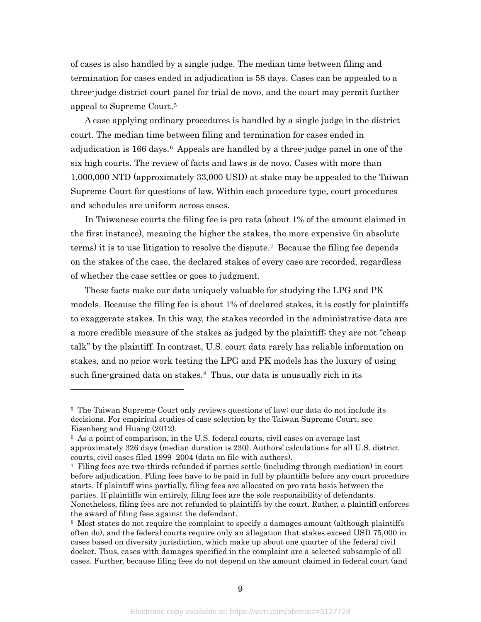of cases is also handled by a single judge. The median time between filing and termination for cases ended in adjudication is 58 days. Cases can be appealed to a three-judge district court panel for trial de novo, and the court may permit further appeal to Supreme Court.[5](#page-9-0)

A case applying ordinary procedures is handled by a single judge in the district court. The median time between filing and termination for cases ended in adjudication is  $166 \text{ days}$  $166 \text{ days}$  $166 \text{ days}$ .<sup>6</sup> Appeals are handled by a three-judge panel in one of the six high courts. The review of facts and laws is de novo. Cases with more than 1,000,000 NTD (approximately 33,000 USD) at stake may be appealed to the Taiwan Supreme Court for questions of law. Within each procedure type, court procedures and schedules are uniform across cases.

In Taiwanese courts the filing fee is pro rata (about 1% of the amount claimed in the first instance), meaning the higher the stakes, the more expensive (in absolute terms) it is to use litigation to resolve the dispute.[7](#page-9-2) Because the filing fee depends on the stakes of the case, the declared stakes of every case are recorded, regardless of whether the case settles or goes to judgment.

These facts make our data uniquely valuable for studying the LPG and PK models. Because the filing fee is about 1% of declared stakes, it is costly for plaintiffs to exaggerate stakes. In this way, the stakes recorded in the administrative data are a more credible measure of the stakes as judged by the plaintiff; they are not "cheap talk" by the plaintiff. In contrast, U.S. court data rarely has reliable information on stakes, and no prior work testing the LPG and PK models has the luxury of using such fine-grained data on stakes.<sup>[8](#page-9-3)</sup> Thus, our data is unusually rich in its

<span id="page-9-0"></span><sup>5</sup> The Taiwan Supreme Court only reviews questions of law; our data do not include its decisions. For empirical studies of case selection by the Taiwan Supreme Court, see Eisenberg and Huang (2012).

<span id="page-9-1"></span><sup>6</sup> As a point of comparison, in the U.S. federal courts, civil cases on average last approximately 326 days (median duration is 230). Authors' calculations for all U.S. district courts, civil cases filed 1999–2004 (data on file with authors).

<span id="page-9-2"></span><sup>7</sup> Filing fees are two-thirds refunded if parties settle (including through mediation) in court before adjudication. Filing fees have to be paid in full by plaintiffs before any court procedure starts. If plaintiff wins partially, filing fees are allocated on pro rata basis between the parties. If plaintiffs win entirely, filing fees are the sole responsibility of defendants. Nonetheless, filing fees are not refunded to plaintiffs by the court. Rather, a plaintiff enforces the award of filing fees against the defendant.

<span id="page-9-3"></span><sup>8</sup> Most states do not require the complaint to specify a damages amount (although plaintiffs often do), and the federal courts require only an allegation that stakes exceed USD 75,000 in cases based on diversity jurisdiction, which make up about one quarter of the federal civil docket. Thus, cases with damages specified in the complaint are a selected subsample of all cases. Further, because filing fees do not depend on the amount claimed in federal court (and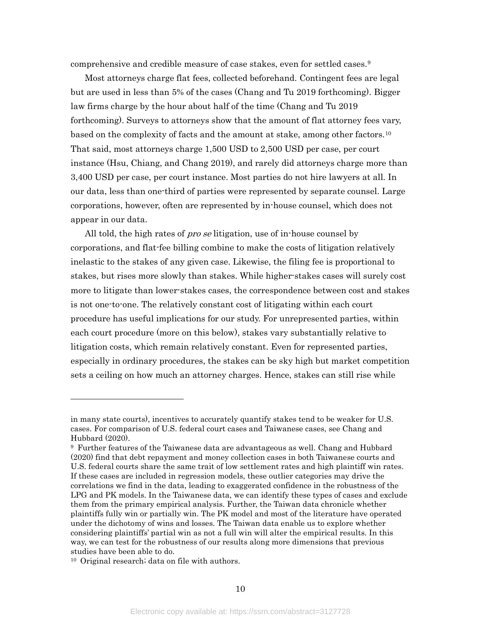comprehensive and credible measure of case stakes, even for settled cases.<sup>[9](#page-10-0)</sup>

Most attorneys charge flat fees, collected beforehand. Contingent fees are legal but are used in less than 5% of the cases (Chang and Tu 2019 forthcoming). Bigger law firms charge by the hour about half of the time (Chang and Tu 2019 forthcoming). Surveys to attorneys show that the amount of flat attorney fees vary, based on the complexity of facts and the amount at stake, among other factors.[10](#page-10-1) That said, most attorneys charge 1,500 USD to 2,500 USD per case, per court instance (Hsu, Chiang, and Chang 2019), and rarely did attorneys charge more than 3,400 USD per case, per court instance. Most parties do not hire lawyers at all. In our data, less than one-third of parties were represented by separate counsel. Large corporations, however, often are represented by in-house counsel, which does not appear in our data.

All told, the high rates of *pro se* litigation, use of in-house counsel by corporations, and flat-fee billing combine to make the costs of litigation relatively inelastic to the stakes of any given case. Likewise, the filing fee is proportional to stakes, but rises more slowly than stakes. While higher-stakes cases will surely cost more to litigate than lower-stakes cases, the correspondence between cost and stakes is not one-to-one. The relatively constant cost of litigating within each court procedure has useful implications for our study. For unrepresented parties, within each court procedure (more on this below), stakes vary substantially relative to litigation costs, which remain relatively constant. Even for represented parties, especially in ordinary procedures, the stakes can be sky high but market competition sets a ceiling on how much an attorney charges. Hence, stakes can still rise while

in many state courts), incentives to accurately quantify stakes tend to be weaker for U.S. cases. For comparison of U.S. federal court cases and Taiwanese cases, see Chang and Hubbard (2020).

<span id="page-10-0"></span><sup>9</sup> Further features of the Taiwanese data are advantageous as well. Chang and Hubbard (2020) find that debt repayment and money collection cases in both Taiwanese courts and U.S. federal courts share the same trait of low settlement rates and high plaintiff win rates. If these cases are included in regression models, these outlier categories may drive the correlations we find in the data, leading to exaggerated confidence in the robustness of the LPG and PK models. In the Taiwanese data, we can identify these types of cases and exclude them from the primary empirical analysis. Further, the Taiwan data chronicle whether plaintiffs fully win or partially win. The PK model and most of the literature have operated under the dichotomy of wins and losses. The Taiwan data enable us to explore whether considering plaintiffs' partial win as not a full win will alter the empirical results. In this way, we can test for the robustness of our results along more dimensions that previous studies have been able to do.

<span id="page-10-1"></span><sup>10</sup> Original research; data on file with authors.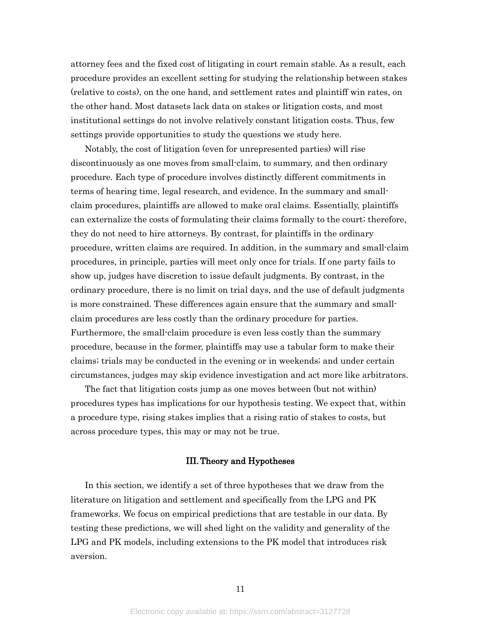attorney fees and the fixed cost of litigating in court remain stable. As a result, each procedure provides an excellent setting for studying the relationship between stakes (relative to costs), on the one hand, and settlement rates and plaintiff win rates, on the other hand. Most datasets lack data on stakes or litigation costs, and most institutional settings do not involve relatively constant litigation costs. Thus, few settings provide opportunities to study the questions we study here.

Notably, the cost of litigation (even for unrepresented parties) will rise discontinuously as one moves from small-claim, to summary, and then ordinary procedure. Each type of procedure involves distinctly different commitments in terms of hearing time, legal research, and evidence. In the summary and smallclaim procedures, plaintiffs are allowed to make oral claims. Essentially, plaintiffs can externalize the costs of formulating their claims formally to the court; therefore, they do not need to hire attorneys. By contrast, for plaintiffs in the ordinary procedure, written claims are required. In addition, in the summary and small-claim procedures, in principle, parties will meet only once for trials. If one party fails to show up, judges have discretion to issue default judgments. By contrast, in the ordinary procedure, there is no limit on trial days, and the use of default judgments is more constrained. These differences again ensure that the summary and smallclaim procedures are less costly than the ordinary procedure for parties. Furthermore, the small-claim procedure is even less costly than the summary procedure, because in the former, plaintiffs may use a tabular form to make their claims; trials may be conducted in the evening or in weekends; and under certain circumstances, judges may skip evidence investigation and act more like arbitrators.

The fact that litigation costs jump as one moves between (but not within) procedures types has implications for our hypothesis testing. We expect that, within a procedure type, rising stakes implies that a rising ratio of stakes to costs, but across procedure types, this may or may not be true.

#### III.Theory and Hypotheses

<span id="page-11-0"></span>In this section, we identify a set of three hypotheses that we draw from the literature on litigation and settlement and specifically from the LPG and PK frameworks. We focus on empirical predictions that are testable in our data. By testing these predictions, we will shed light on the validity and generality of the LPG and PK models, including extensions to the PK model that introduces risk aversion.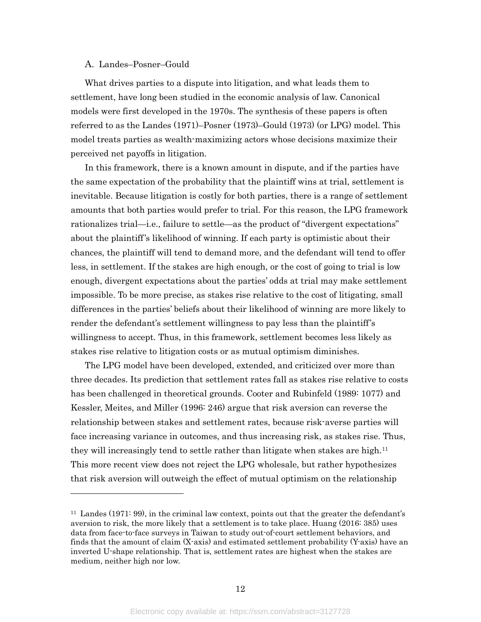#### <span id="page-12-0"></span>A. Landes–Posner–Gould

 $\overline{a}$ 

What drives parties to a dispute into litigation, and what leads them to settlement, have long been studied in the economic analysis of law. Canonical models were first developed in the 1970s. The synthesis of these papers is often referred to as the Landes (1971)–Posner (1973)–Gould (1973) (or LPG) model. This model treats parties as wealth-maximizing actors whose decisions maximize their perceived net payoffs in litigation.

In this framework, there is a known amount in dispute, and if the parties have the same expectation of the probability that the plaintiff wins at trial, settlement is inevitable. Because litigation is costly for both parties, there is a range of settlement amounts that both parties would prefer to trial. For this reason, the LPG framework rationalizes trial—i.e., failure to settle—as the product of "divergent expectations" about the plaintiff's likelihood of winning. If each party is optimistic about their chances, the plaintiff will tend to demand more, and the defendant will tend to offer less, in settlement. If the stakes are high enough, or the cost of going to trial is low enough, divergent expectations about the parties' odds at trial may make settlement impossible. To be more precise, as stakes rise relative to the cost of litigating, small differences in the parties' beliefs about their likelihood of winning are more likely to render the defendant's settlement willingness to pay less than the plaintiff's willingness to accept. Thus, in this framework, settlement becomes less likely as stakes rise relative to litigation costs or as mutual optimism diminishes.

The LPG model have been developed, extended, and criticized over more than three decades. Its prediction that settlement rates fall as stakes rise relative to costs has been challenged in theoretical grounds. Cooter and Rubinfeld (1989: 1077) and Kessler, Meites, and Miller (1996: 246) argue that risk aversion can reverse the relationship between stakes and settlement rates, because risk-averse parties will face increasing variance in outcomes, and thus increasing risk, as stakes rise. Thus, they will increasingly tend to settle rather than litigate when stakes are high[.11](#page-12-1) This more recent view does not reject the LPG wholesale, but rather hypothesizes that risk aversion will outweigh the effect of mutual optimism on the relationship

<span id="page-12-1"></span><sup>&</sup>lt;sup>11</sup> Landes (1971: 99), in the criminal law context, points out that the greater the defendant's aversion to risk, the more likely that a settlement is to take place. Huang (2016: 385) uses data from face-to-face surveys in Taiwan to study out-of-court settlement behaviors, and finds that the amount of claim (X-axis) and estimated settlement probability (Y-axis) have an inverted U-shape relationship. That is, settlement rates are highest when the stakes are medium, neither high nor low.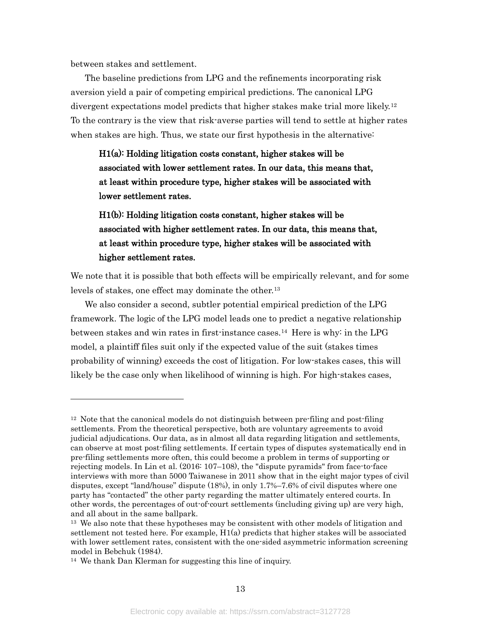between stakes and settlement.

 $\overline{a}$ 

The baseline predictions from LPG and the refinements incorporating risk aversion yield a pair of competing empirical predictions. The canonical LPG divergent expectations model predicts that higher stakes make trial more likely.[12](#page-13-0) To the contrary is the view that risk-averse parties will tend to settle at higher rates when stakes are high. Thus, we state our first hypothesis in the alternative:

H1(a): Holding litigation costs constant, higher stakes will be associated with lower settlement rates. In our data, this means that, at least within procedure type, higher stakes will be associated with lower settlement rates.

H1(b): Holding litigation costs constant, higher stakes will be associated with higher settlement rates. In our data, this means that, at least within procedure type, higher stakes will be associated with higher settlement rates.

We note that it is possible that both effects will be empirically relevant, and for some levels of stakes, one effect may dominate the other.[13](#page-13-1)

We also consider a second, subtler potential empirical prediction of the LPG framework. The logic of the LPG model leads one to predict a negative relationship between stakes and win rates in first-instance cases.[14](#page-13-2) Here is why: in the LPG model, a plaintiff files suit only if the expected value of the suit (stakes times probability of winning) exceeds the cost of litigation. For low-stakes cases, this will likely be the case only when likelihood of winning is high. For high-stakes cases,

<span id="page-13-0"></span><sup>12</sup> Note that the canonical models do not distinguish between pre-filing and post-filing settlements. From the theoretical perspective, both are voluntary agreements to avoid judicial adjudications. Our data, as in almost all data regarding litigation and settlements, can observe at most post-filing settlements. If certain types of disputes systematically end in pre-filing settlements more often, this could become a problem in terms of supporting or rejecting models. In Lin et al. (2016: 107–108), the "dispute pyramids" from face-to-face interviews with more than 5000 Taiwanese in 2011 show that in the eight major types of civil disputes, except "land/house" dispute (18%), in only 1.7%–7.6% of civil disputes where one party has "contacted" the other party regarding the matter ultimately entered courts. In other words, the percentages of out-of-court settlements (including giving up) are very high, and all about in the same ballpark.

<span id="page-13-1"></span><sup>&</sup>lt;sup>13</sup> We also note that these hypotheses may be consistent with other models of litigation and settlement not tested here. For example,  $H1(a)$  predicts that higher stakes will be associated with lower settlement rates, consistent with the one-sided asymmetric information screening model in Bebchuk (1984).

<span id="page-13-2"></span><sup>14</sup> We thank Dan Klerman for suggesting this line of inquiry.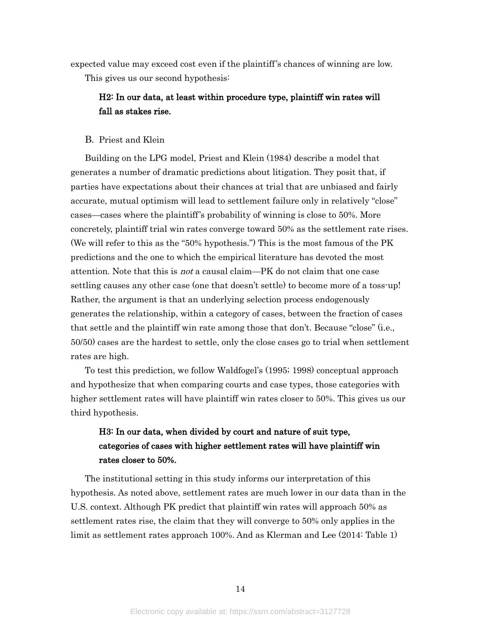expected value may exceed cost even if the plaintiff's chances of winning are low. This gives us our second hypothesis:

## H2: In our data, at least within procedure type, plaintiff win rates will fall as stakes rise.

### <span id="page-14-0"></span>B. Priest and Klein

Building on the LPG model, Priest and Klein (1984) describe a model that generates a number of dramatic predictions about litigation. They posit that, if parties have expectations about their chances at trial that are unbiased and fairly accurate, mutual optimism will lead to settlement failure only in relatively "close" cases—cases where the plaintiff's probability of winning is close to 50%. More concretely, plaintiff trial win rates converge toward 50% as the settlement rate rises. (We will refer to this as the "50% hypothesis.") This is the most famous of the PK predictions and the one to which the empirical literature has devoted the most attention. Note that this is *not* a causal claim—PK do not claim that one case settling causes any other case (one that doesn't settle) to become more of a toss-up! Rather, the argument is that an underlying selection process endogenously generates the relationship, within a category of cases, between the fraction of cases that settle and the plaintiff win rate among those that don't. Because "close" (i.e., 50/50) cases are the hardest to settle, only the close cases go to trial when settlement rates are high.

To test this prediction, we follow Waldfogel's (1995; 1998) conceptual approach and hypothesize that when comparing courts and case types, those categories with higher settlement rates will have plaintiff win rates closer to 50%. This gives us our third hypothesis.

## H3: In our data, when divided by court and nature of suit type, categories of cases with higher settlement rates will have plaintiff win rates closer to 50%.

The institutional setting in this study informs our interpretation of this hypothesis. As noted above, settlement rates are much lower in our data than in the U.S. context. Although PK predict that plaintiff win rates will approach 50% as settlement rates rise, the claim that they will converge to 50% only applies in the limit as settlement rates approach 100%. And as Klerman and Lee (2014: Table 1)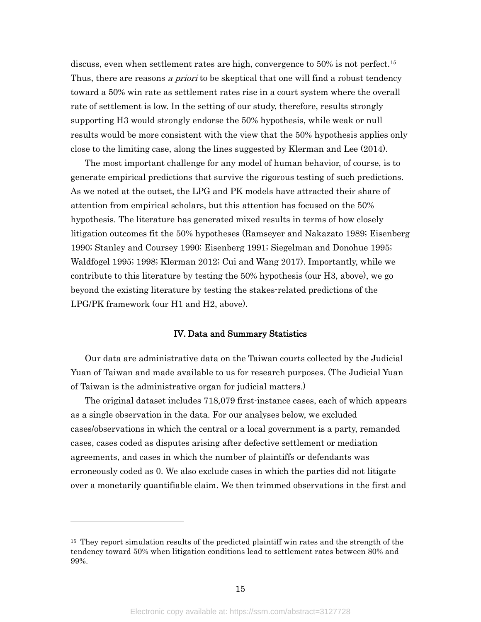discuss, even when settlement rates are high, convergence to 50% is not perfect.[15](#page-15-1) Thus, there are reasons a priori to be skeptical that one will find a robust tendency toward a 50% win rate as settlement rates rise in a court system where the overall rate of settlement is low. In the setting of our study, therefore, results strongly supporting H3 would strongly endorse the 50% hypothesis, while weak or null results would be more consistent with the view that the 50% hypothesis applies only close to the limiting case, along the lines suggested by Klerman and Lee (2014).

The most important challenge for any model of human behavior, of course, is to generate empirical predictions that survive the rigorous testing of such predictions. As we noted at the outset, the LPG and PK models have attracted their share of attention from empirical scholars, but this attention has focused on the 50% hypothesis. The literature has generated mixed results in terms of how closely litigation outcomes fit the 50% hypotheses (Ramseyer and Nakazato 1989; Eisenberg 1990; Stanley and Coursey 1990; Eisenberg 1991; Siegelman and Donohue 1995; Waldfogel 1995; 1998; Klerman 2012; Cui and Wang 2017). Importantly, while we contribute to this literature by testing the 50% hypothesis (our H3, above), we go beyond the existing literature by testing the stakes-related predictions of the LPG/PK framework (our H1 and H2, above).

#### IV. Data and Summary Statistics

<span id="page-15-0"></span>Our data are administrative data on the Taiwan courts collected by the Judicial Yuan of Taiwan and made available to us for research purposes. (The Judicial Yuan of Taiwan is the administrative organ for judicial matters.)

The original dataset includes 718,079 first-instance cases, each of which appears as a single observation in the data. For our analyses below, we excluded cases/observations in which the central or a local government is a party, remanded cases, cases coded as disputes arising after defective settlement or mediation agreements, and cases in which the number of plaintiffs or defendants was erroneously coded as 0. We also exclude cases in which the parties did not litigate over a monetarily quantifiable claim. We then trimmed observations in the first and

<span id="page-15-1"></span><sup>&</sup>lt;sup>15</sup> They report simulation results of the predicted plaintiff win rates and the strength of the tendency toward 50% when litigation conditions lead to settlement rates between 80% and 99%.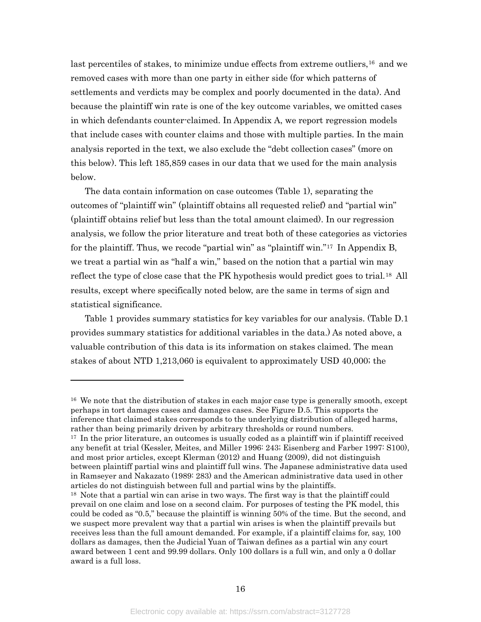last percentiles of stakes, to minimize undue effects from extreme outliers,<sup>[16](#page-16-0)</sup> and we removed cases with more than one party in either side (for which patterns of settlements and verdicts may be complex and poorly documented in the data). And because the plaintiff win rate is one of the key outcome variables, we omitted cases in which defendants counter-claimed. I[n Appendix A,](#page-31-0) we report regression models that include cases with counter claims and those with multiple parties. In the main analysis reported in the text, we also exclude the "debt collection cases" (more on this below). This left 185,859 cases in our data that we used for the main analysis below.

The data contain information on case outcomes [\(Table 1\)](#page-24-1), separating the outcomes of "plaintiff win" (plaintiff obtains all requested relief) and "partial win" (plaintiff obtains relief but less than the total amount claimed). In our regression analysis, we follow the prior literature and treat both of these categories as victories for the plaintiff. Thus, we recode "partial win" as "plaintiff win."[17](#page-16-1) In [Appendix B,](#page-33-0) we treat a partial win as "half a win," based on the notion that a partial win may reflect the type of close case that the PK hypothesis would predict goes to trial.<sup>[18](#page-16-2)</sup> All results, except where specifically noted below, are the same in terms of sign and statistical significance.

[Table 1](#page-24-1) provides summary statistics for key variables for our analysis. [\(Table D.1](#page-37-0) provides summary statistics for additional variables in the data.) As noted above, a valuable contribution of this data is its information on stakes claimed. The mean stakes of about NTD 1,213,060 is equivalent to approximately USD 40,000; the

<span id="page-16-0"></span><sup>16</sup> We note that the distribution of stakes in each major case type is generally smooth, except perhaps in tort damages cases and damages cases. See [Figure D.5.](#page-38-0) This supports the inference that claimed stakes corresponds to the underlying distribution of alleged harms, rather than being primarily driven by arbitrary thresholds or round numbers.

<span id="page-16-1"></span><sup>&</sup>lt;sup>17</sup> In the prior literature, an outcomes is usually coded as a plaintiff win if plaintiff received any benefit at trial (Kessler, Meites, and Miller 1996: 243; Eisenberg and Farber 1997: S100), and most prior articles, except Klerman (2012) and Huang (2009), did not distinguish between plaintiff partial wins and plaintiff full wins. The Japanese administrative data used in Ramseyer and Nakazato (1989: 283) and the American administrative data used in other articles do not distinguish between full and partial wins by the plaintiffs.

<span id="page-16-2"></span><sup>&</sup>lt;sup>18</sup> Note that a partial win can arise in two ways. The first way is that the plaintiff could prevail on one claim and lose on a second claim. For purposes of testing the PK model, this could be coded as "0.5," because the plaintiff is winning 50% of the time. But the second, and we suspect more prevalent way that a partial win arises is when the plaintiff prevails but receives less than the full amount demanded. For example, if a plaintiff claims for, say, 100 dollars as damages, then the Judicial Yuan of Taiwan defines as a partial win any court award between 1 cent and 99.99 dollars. Only 100 dollars is a full win, and only a 0 dollar award is a full loss.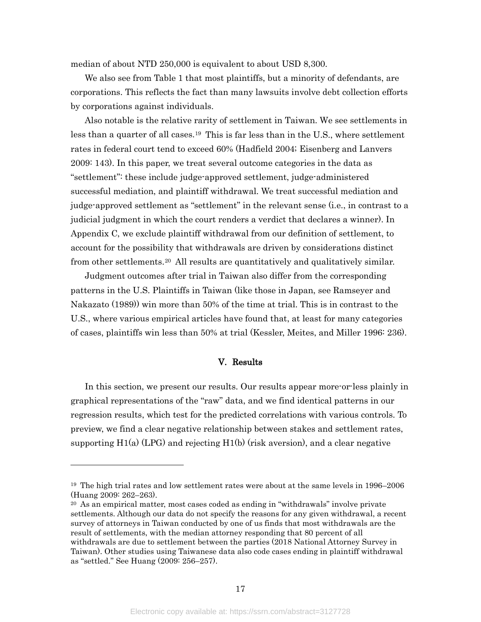median of about NTD 250,000 is equivalent to about USD 8,300.

We also see from [Table 1](#page-24-1) that most plaintiffs, but a minority of defendants, are corporations. This reflects the fact than many lawsuits involve debt collection efforts by corporations against individuals.

Also notable is the relative rarity of settlement in Taiwan. We see settlements in less than a quarter of all cases.[19](#page-17-1) This is far less than in the U.S., where settlement rates in federal court tend to exceed 60% (Hadfield 2004; Eisenberg and Lanvers 2009: 143). In this paper, we treat several outcome categories in the data as "settlement": these include judge-approved settlement, judge-administered successful mediation, and plaintiff withdrawal. We treat successful mediation and judge-approved settlement as "settlement" in the relevant sense (i.e., in contrast to a judicial judgment in which the court renders a verdict that declares a winner). In [Appendix C,](#page-34-0) we exclude plaintiff withdrawal from our definition of settlement, to account for the possibility that withdrawals are driven by considerations distinct from other settlements.[20](#page-17-2) All results are quantitatively and qualitatively similar.

Judgment outcomes after trial in Taiwan also differ from the corresponding patterns in the U.S. Plaintiffs in Taiwan (like those in Japan, see Ramseyer and Nakazato (1989)) win more than 50% of the time at trial. This is in contrast to the U.S., where various empirical articles have found that, at least for many categories of cases, plaintiffs win less than 50% at trial (Kessler, Meites, and Miller 1996: 236).

#### V. Results

<span id="page-17-0"></span>In this section, we present our results. Our results appear more-or-less plainly in graphical representations of the "raw" data, and we find identical patterns in our regression results, which test for the predicted correlations with various controls. To preview, we find a clear negative relationship between stakes and settlement rates, supporting  $H1(a)$  (LPG) and rejecting  $H1(b)$  (risk aversion), and a clear negative

<span id="page-17-1"></span><sup>19</sup> The high trial rates and low settlement rates were about at the same levels in 1996–2006 (Huang 2009: 262–263).

<span id="page-17-2"></span><sup>&</sup>lt;sup>20</sup> As an empirical matter, most cases coded as ending in "withdrawals" involve private settlements. Although our data do not specify the reasons for any given withdrawal, a recent survey of attorneys in Taiwan conducted by one of us finds that most withdrawals are the result of settlements, with the median attorney responding that 80 percent of all withdrawals are due to settlement between the parties (2018 National Attorney Survey in Taiwan). Other studies using Taiwanese data also code cases ending in plaintiff withdrawal as "settled." See Huang (2009: 256–257).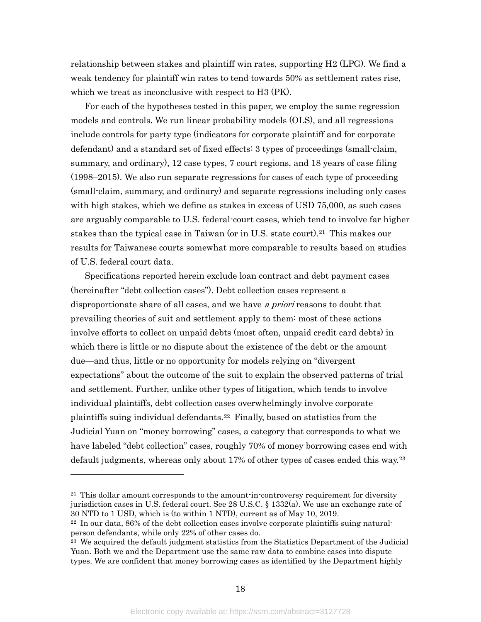relationship between stakes and plaintiff win rates, supporting H2 (LPG). We find a weak tendency for plaintiff win rates to tend towards 50% as settlement rates rise, which we treat as inconclusive with respect to H3 (PK).

For each of the hypotheses tested in this paper, we employ the same regression models and controls. We run linear probability models (OLS), and all regressions include controls for party type (indicators for corporate plaintiff and for corporate defendant) and a standard set of fixed effects: 3 types of proceedings (small-claim, summary, and ordinary), 12 case types, 7 court regions, and 18 years of case filing (1998–2015). We also run separate regressions for cases of each type of proceeding (small-claim, summary, and ordinary) and separate regressions including only cases with high stakes, which we define as stakes in excess of USD 75,000, as such cases are arguably comparable to U.S. federal-court cases, which tend to involve far higher stakes than the typical case in Taiwan (or in U.S. state court).[21](#page-18-0) This makes our results for Taiwanese courts somewhat more comparable to results based on studies of U.S. federal court data.

Specifications reported herein exclude loan contract and debt payment cases (hereinafter "debt collection cases"). Debt collection cases represent a disproportionate share of all cases, and we have a priori reasons to doubt that prevailing theories of suit and settlement apply to them: most of these actions involve efforts to collect on unpaid debts (most often, unpaid credit card debts) in which there is little or no dispute about the existence of the debt or the amount due—and thus, little or no opportunity for models relying on "divergent expectations" about the outcome of the suit to explain the observed patterns of trial and settlement. Further, unlike other types of litigation, which tends to involve individual plaintiffs, debt collection cases overwhelmingly involve corporate plaintiffs suing individual defendants.[22](#page-18-1) Finally, based on statistics from the Judicial Yuan on "money borrowing" cases, a category that corresponds to what we have labeled "debt collection" cases, roughly 70% of money borrowing cases end with default judgments, whereas only about 17% of other types of cases ended this way.[23](#page-18-2)

<span id="page-18-0"></span> $21$  This dollar amount corresponds to the amount-in-controversy requirement for diversity jurisdiction cases in U.S. federal court. See 28 U.S.C. § 1332(a). We use an exchange rate of 30 NTD to 1 USD, which is (to within 1 NTD), current as of May 10, 2019.

<span id="page-18-1"></span> $22 \text{ In our data, } 86\%$  of the debt collection cases involve corporate plaintiffs suing naturalperson defendants, while only 22% of other cases do.

<span id="page-18-2"></span><sup>&</sup>lt;sup>23</sup> We acquired the default judgment statistics from the Statistics Department of the Judicial Yuan. Both we and the Department use the same raw data to combine cases into dispute types. We are confident that money borrowing cases as identified by the Department highly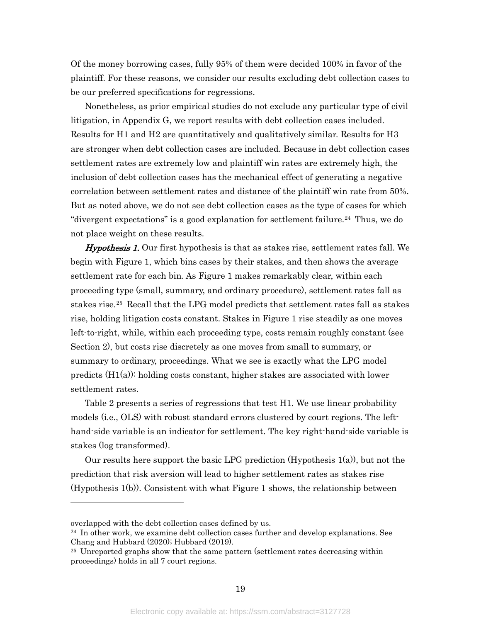Of the money borrowing cases, fully 95% of them were decided 100% in favor of the plaintiff. For these reasons, we consider our results excluding debt collection cases to be our preferred specifications for regressions.

Nonetheless, as prior empirical studies do not exclude any particular type of civil litigation, in Appendix G, we report results with debt collection cases included. Results for H1 and H2 are quantitatively and qualitatively similar. Results for H3 are stronger when debt collection cases are included. Because in debt collection cases settlement rates are extremely low and plaintiff win rates are extremely high, the inclusion of debt collection cases has the mechanical effect of generating a negative correlation between settlement rates and distance of the plaintiff win rate from 50%. But as noted above, we do not see debt collection cases as the type of cases for which "divergent expectations" is a good explanation for settlement failure.[24](#page-19-0) Thus, we do not place weight on these results.

**Hypothesis 1.** Our first hypothesis is that as stakes rise, settlement rates fall. We begin with [Figure 1,](#page-28-1) which bins cases by their stakes, and then shows the average settlement rate for each bin. As [Figure 1](#page-28-1) makes remarkably clear, within each proceeding type (small, summary, and ordinary procedure), settlement rates fall as stakes rise.[25](#page-19-1) Recall that the LPG model predicts that settlement rates fall as stakes rise, holding litigation costs constant. Stakes in [Figure 1](#page-28-1) rise steadily as one moves left-to-right, while, within each proceeding type, costs remain roughly constant (see Section 2), but costs rise discretely as one moves from small to summary, or summary to ordinary, proceedings. What we see is exactly what the LPG model predicts  $(H1(a))$ : holding costs constant, higher stakes are associated with lower settlement rates.

[Table 2](#page-25-0) presents a series of regressions that test H1. We use linear probability models (i.e., OLS) with robust standard errors clustered by court regions. The lefthand-side variable is an indicator for settlement. The key right-hand-side variable is stakes (log transformed).

Our results here support the basic LPG prediction (Hypothesis 1(a)), but not the prediction that risk aversion will lead to higher settlement rates as stakes rise (Hypothesis 1(b)). Consistent with what [Figure 1](#page-28-1) shows, the relationship between

overlapped with the debt collection cases defined by us.

<span id="page-19-0"></span> $24$  In other work, we examine debt collection cases further and develop explanations. See Chang and Hubbard (2020); Hubbard (2019).

<span id="page-19-1"></span><sup>25</sup> Unreported graphs show that the same pattern (settlement rates decreasing within proceedings) holds in all 7 court regions.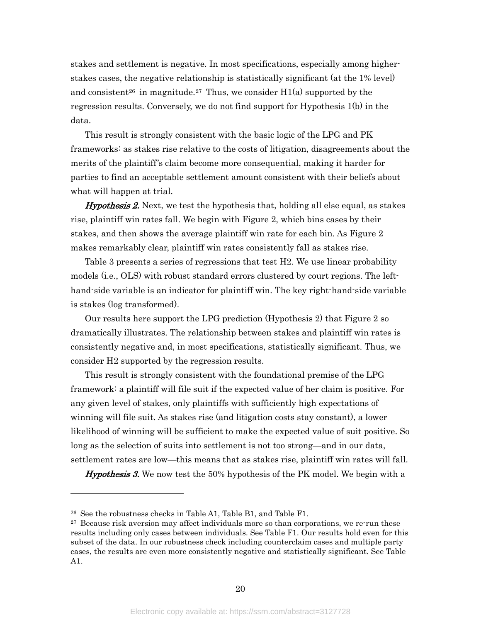stakes and settlement is negative. In most specifications, especially among higherstakes cases, the negative relationship is statistically significant (at the 1% level) and consistent<sup>[26](#page-20-0)</sup> in magnitude.<sup>[27](#page-20-1)</sup> Thus, we consider  $H1(a)$  supported by the regression results. Conversely, we do not find support for Hypothesis 1(b) in the data.

This result is strongly consistent with the basic logic of the LPG and PK frameworks: as stakes rise relative to the costs of litigation, disagreements about the merits of the plaintiff's claim become more consequential, making it harder for parties to find an acceptable settlement amount consistent with their beliefs about what will happen at trial.

**Hypothesis 2.** Next, we test the hypothesis that, holding all else equal, as stakes rise, plaintiff win rates fall. We begin with [Figure 2,](#page-29-0) which bins cases by their stakes, and then shows the average plaintiff win rate for each bin. As [Figure 2](#page-29-0) makes remarkably clear, plaintiff win rates consistently fall as stakes rise.

[Table 3](#page-26-0) presents a series of regressions that test H2. We use linear probability models (i.e., OLS) with robust standard errors clustered by court regions. The lefthand-side variable is an indicator for plaintiff win. The key right-hand-side variable is stakes (log transformed).

Our results here support the LPG prediction (Hypothesis 2) that [Figure 2](#page-29-0) so dramatically illustrates. The relationship between stakes and plaintiff win rates is consistently negative and, in most specifications, statistically significant. Thus, we consider H2 supported by the regression results.

This result is strongly consistent with the foundational premise of the LPG framework: a plaintiff will file suit if the expected value of her claim is positive. For any given level of stakes, only plaintiffs with sufficiently high expectations of winning will file suit. As stakes rise (and litigation costs stay constant), a lower likelihood of winning will be sufficient to make the expected value of suit positive. So long as the selection of suits into settlement is not too strong—and in our data, settlement rates are low—this means that as stakes rise, plaintiff win rates will fall.

**Hypothesis 3.** We now test the 50% hypothesis of the PK model. We begin with a

<span id="page-20-0"></span><sup>26</sup> See the robustness checks in Table A1, Table B1, and Table F1.

<span id="page-20-1"></span><sup>&</sup>lt;sup>27</sup> Because risk aversion may affect individuals more so than corporations, we re-run these results including only cases between individuals. See Table F1. Our results hold even for this subset of the data. In our robustness check including counterclaim cases and multiple party cases, the results are even more consistently negative and statistically significant. See Table A1.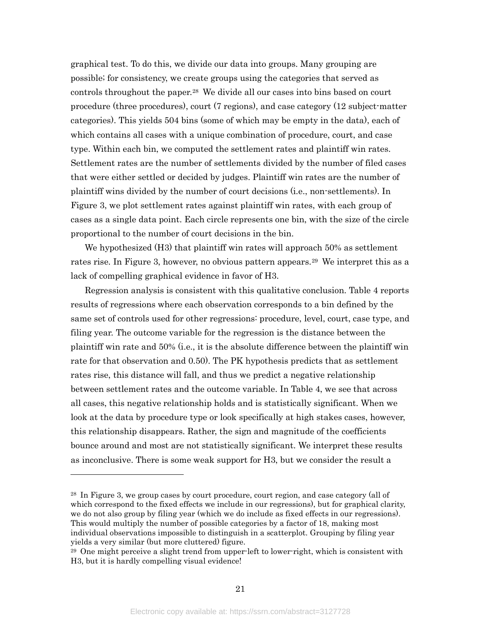graphical test. To do this, we divide our data into groups. Many grouping are possible; for consistency, we create groups using the categories that served as controls throughout the paper.[28](#page-21-0) We divide all our cases into bins based on court procedure (three procedures), court (7 regions), and case category (12 subject-matter categories). This yields 504 bins (some of which may be empty in the data), each of which contains all cases with a unique combination of procedure, court, and case type. Within each bin, we computed the settlement rates and plaintiff win rates. Settlement rates are the number of settlements divided by the number of filed cases that were either settled or decided by judges. Plaintiff win rates are the number of plaintiff wins divided by the number of court decisions (i.e., non-settlements). In [Figure 3,](#page-30-0) we plot settlement rates against plaintiff win rates, with each group of cases as a single data point. Each circle represents one bin, with the size of the circle proportional to the number of court decisions in the bin.

We hypothesized (H3) that plaintiff win rates will approach 50% as settlement rates rise. In [Figure 3,](#page-30-0) however, no obvious pattern appears.[29](#page-21-1) We interpret this as a lack of compelling graphical evidence in favor of H3.

Regression analysis is consistent with this qualitative conclusion. [Table 4](#page-27-0) reports results of regressions where each observation corresponds to a bin defined by the same set of controls used for other regressions: procedure, level, court, case type, and filing year. The outcome variable for the regression is the distance between the plaintiff win rate and 50% (i.e., it is the absolute difference between the plaintiff win rate for that observation and 0.50). The PK hypothesis predicts that as settlement rates rise, this distance will fall, and thus we predict a negative relationship between settlement rates and the outcome variable. In [Table 4,](#page-27-0) we see that across all cases, this negative relationship holds and is statistically significant. When we look at the data by procedure type or look specifically at high stakes cases, however, this relationship disappears. Rather, the sign and magnitude of the coefficients bounce around and most are not statistically significant. We interpret these results as inconclusive. There is some weak support for H3, but we consider the result a

<span id="page-21-0"></span><sup>&</sup>lt;sup>28</sup> In [Figure 3,](#page-30-0) we group cases by court procedure, court region, and case category (all of which correspond to the fixed effects we include in our regressions), but for graphical clarity, we do not also group by filing year (which we do include as fixed effects in our regressions). This would multiply the number of possible categories by a factor of 18, making most individual observations impossible to distinguish in a scatterplot. Grouping by filing year yields a very similar (but more cluttered) figure.

<span id="page-21-1"></span><sup>29</sup> One might perceive a slight trend from upper-left to lower-right, which is consistent with H3, but it is hardly compelling visual evidence!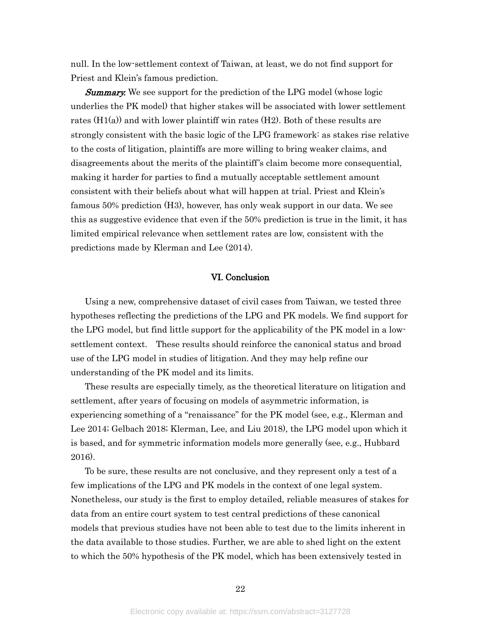null. In the low-settlement context of Taiwan, at least, we do not find support for Priest and Klein's famous prediction.

**Summary.** We see support for the prediction of the LPG model (whose logic underlies the PK model) that higher stakes will be associated with lower settlement rates (H1(a)) and with lower plaintiff win rates (H2). Both of these results are strongly consistent with the basic logic of the LPG framework: as stakes rise relative to the costs of litigation, plaintiffs are more willing to bring weaker claims, and disagreements about the merits of the plaintiff's claim become more consequential, making it harder for parties to find a mutually acceptable settlement amount consistent with their beliefs about what will happen at trial. Priest and Klein's famous 50% prediction (H3), however, has only weak support in our data. We see this as suggestive evidence that even if the 50% prediction is true in the limit, it has limited empirical relevance when settlement rates are low, consistent with the predictions made by Klerman and Lee (2014).

### VI. Conclusion

<span id="page-22-0"></span>Using a new, comprehensive dataset of civil cases from Taiwan, we tested three hypotheses reflecting the predictions of the LPG and PK models. We find support for the LPG model, but find little support for the applicability of the PK model in a lowsettlement context. These results should reinforce the canonical status and broad use of the LPG model in studies of litigation. And they may help refine our understanding of the PK model and its limits.

These results are especially timely, as the theoretical literature on litigation and settlement, after years of focusing on models of asymmetric information, is experiencing something of a "renaissance" for the PK model (see, e.g., Klerman and Lee 2014; Gelbach 2018; Klerman, Lee, and Liu 2018), the LPG model upon which it is based, and for symmetric information models more generally (see, e.g., Hubbard 2016).

To be sure, these results are not conclusive, and they represent only a test of a few implications of the LPG and PK models in the context of one legal system. Nonetheless, our study is the first to employ detailed, reliable measures of stakes for data from an entire court system to test central predictions of these canonical models that previous studies have not been able to test due to the limits inherent in the data available to those studies. Further, we are able to shed light on the extent to which the 50% hypothesis of the PK model, which has been extensively tested in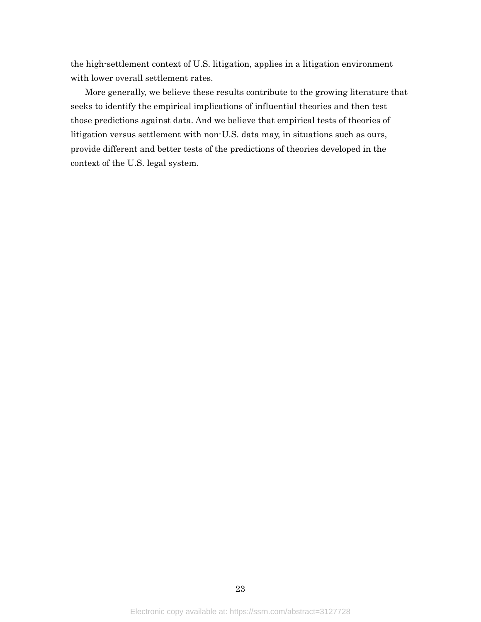the high-settlement context of U.S. litigation, applies in a litigation environment with lower overall settlement rates.

More generally, we believe these results contribute to the growing literature that seeks to identify the empirical implications of influential theories and then test those predictions against data. And we believe that empirical tests of theories of litigation versus settlement with non-U.S. data may, in situations such as ours, provide different and better tests of the predictions of theories developed in the context of the U.S. legal system.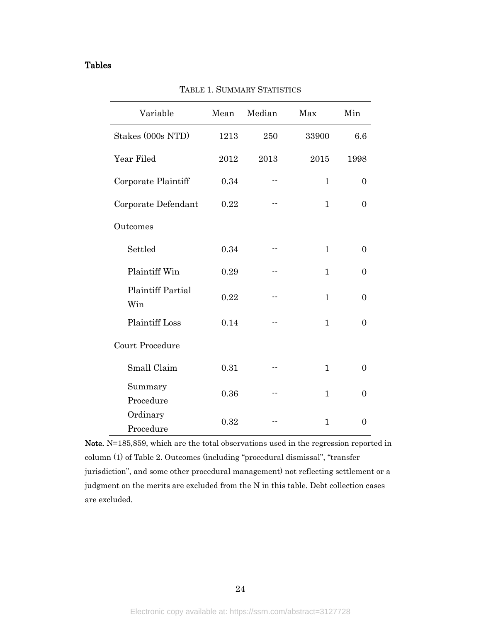## <span id="page-24-1"></span><span id="page-24-0"></span>Tables

| Variable                        | Mean | Median | Max          | Min              |  |  |
|---------------------------------|------|--------|--------------|------------------|--|--|
| Stakes (000s NTD)               | 1213 | 250    | 33900        | 6.6              |  |  |
| Year Filed                      | 2012 | 2013   | 2015         | 1998             |  |  |
| Corporate Plaintiff             | 0.34 |        | $\mathbf{1}$ | $\overline{0}$   |  |  |
| Corporate Defendant             | 0.22 |        | $\mathbf{1}$ | $\Omega$         |  |  |
| Outcomes                        |      |        |              |                  |  |  |
| Settled                         | 0.34 |        | $\mathbf{1}$ | $\overline{0}$   |  |  |
| Plaintiff Win                   | 0.29 | --     | $\mathbf{1}$ | $\boldsymbol{0}$ |  |  |
| <b>Plaintiff Partial</b><br>Win | 0.22 | --     | $\mathbf{1}$ | $\overline{0}$   |  |  |
| <b>Plaintiff Loss</b>           | 0.14 | --     | $\mathbf{1}$ | $\overline{0}$   |  |  |
| Court Procedure                 |      |        |              |                  |  |  |
| Small Claim                     | 0.31 | --     | $\mathbf{1}$ | $\overline{0}$   |  |  |
| Summary<br>Procedure            | 0.36 |        | $\mathbf{1}$ | $\overline{0}$   |  |  |
| Ordinary<br>Procedure           | 0.32 |        | 1            | $\Omega$         |  |  |

TABLE 1. SUMMARY STATISTICS

Note. N=185,859, which are the total observations used in the regression reported in column (1) of [Table 2.](#page-25-0) Outcomes (including "procedural dismissal", "transfer jurisdiction", and some other procedural management) not reflecting settlement or a judgment on the merits are excluded from the N in this table. Debt collection cases are excluded.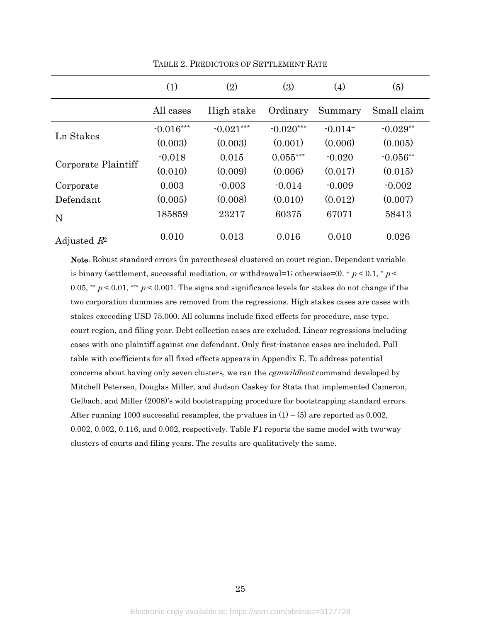<span id="page-25-0"></span>

|                     | (1)         | (2)         | (3)         | (4)       | (5)         |
|---------------------|-------------|-------------|-------------|-----------|-------------|
|                     | All cases   | High stake  | Ordinary    | Summary   | Small claim |
|                     | $-0.016***$ | $-0.021***$ | $-0.020***$ | $-0.014+$ | $-0.029**$  |
| Ln Stakes           | (0.003)     | (0.003)     | (0.001)     | (0.006)   | (0.005)     |
|                     | $-0.018$    | 0.015       | $0.055***$  | $-0.020$  | $-0.056**$  |
| Corporate Plaintiff | (0.010)     | (0.009)     | (0.006)     | (0.017)   | (0.015)     |
| Corporate           | 0.003       | $-0.003$    | $-0.014$    | $-0.009$  | $-0.002$    |
| Defendant           | (0.005)     | (0.008)     | (0.010)     | (0.012)   | (0.007)     |
| N                   | 185859      | 23217       | 60375       | 67071     | 58413       |
| Adjusted $R^2$      | 0.010       | 0.013       | 0.016       | 0.010     | 0.026       |

TABLE 2. PREDICTORS OF SETTLEMENT RATE

Note. Robust standard errors (in parentheses) clustered on court region. Dependent variable is binary (settlement, successful mediation, or withdrawal=1; otherwise=0).  $+p < 0.1$ ,  $p <$ 0.05, \*\*  $p < 0.01$ , \*\*\*  $p < 0.001$ . The signs and significance levels for stakes do not change if the two corporation dummies are removed from the regressions. High stakes cases are cases with stakes exceeding USD 75,000. All columns include fixed effects for procedure, case type, court region, and filing year. Debt collection cases are excluded. Linear regressions including cases with one plaintiff against one defendant. Only first-instance cases are included. Full table with coefficients for all fixed effects appears in [Appendix E.](#page-39-0) To address potential concerns about having only seven clusters, we ran the *cgmwildboot* command developed by Mitchell Petersen, Douglas Miller, and Judson Caskey for Stata that implemented Cameron, Gelbach, and Miller (2008)'s wild bootstrapping procedure for bootstrapping standard errors. After running 1000 successful resamples, the p-values in  $(1) - (5)$  are reported as 0.002, 0.002, 0.002, 0.116, and 0.002, respectively. Table F1 reports the same model with two-way clusters of courts and filing years. The results are qualitatively the same.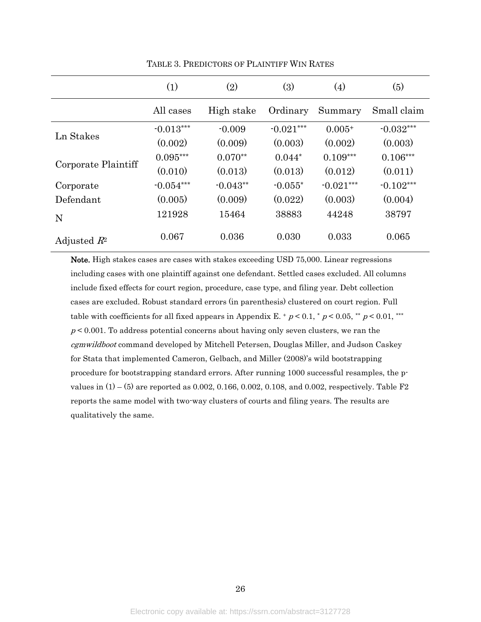<span id="page-26-0"></span>

|                     | (1)         | (2)        | (3)         | (4)         | (5)         |
|---------------------|-------------|------------|-------------|-------------|-------------|
|                     | All cases   | High stake | Ordinary    | Summary     | Small claim |
|                     | $-0.013***$ | $-0.009$   | $-0.021***$ | $0.005+$    | $-0.032***$ |
| Ln Stakes           | (0.002)     | (0.009)    | (0.003)     | (0.002)     | (0.003)     |
|                     | $0.095***$  | $0.070**$  | $0.044*$    | $0.109***$  | $0.106***$  |
| Corporate Plaintiff | (0.010)     | (0.013)    | (0.013)     | (0.012)     | (0.011)     |
| Corporate           | $-0.054***$ | $-0.043**$ | $-0.055*$   | $-0.021***$ | $-0.102***$ |
| Defendant           | (0.005)     | (0.009)    | (0.022)     | (0.003)     | (0.004)     |
| N                   | 121928      | 15464      | 38883       | 44248       | 38797       |
| Adjusted $R^2$      | 0.067       | 0.036      | 0.030       | 0.033       | 0.065       |

TABLE 3. PREDICTORS OF PLAINTIFF WIN RATES

Note. High stakes cases are cases with stakes exceeding USD 75,000. Linear regressions including cases with one plaintiff against one defendant. Settled cases excluded. All columns include fixed effects for court region, procedure, case type, and filing year. Debt collection cases are excluded. Robust standard errors (in parenthesis) clustered on court region. Full table with coefficients for all fixed appears in [Appendix E.](#page-39-0) +  $p < 0.1$ , \*  $p < 0.05$ , \*\*  $p < 0.01$ , \*\*\*  $p < 0.001$ . To address potential concerns about having only seven clusters, we ran the cgmwildboot command developed by Mitchell Petersen, Douglas Miller, and Judson Caskey for Stata that implemented Cameron, Gelbach, and Miller (2008)'s wild bootstrapping procedure for bootstrapping standard errors. After running 1000 successful resamples, the pvalues in  $(1) - (5)$  are reported as 0.002, 0.166, 0.002, 0.108, and 0.002, respectively. Table F2 reports the same model with two-way clusters of courts and filing years. The results are qualitatively the same.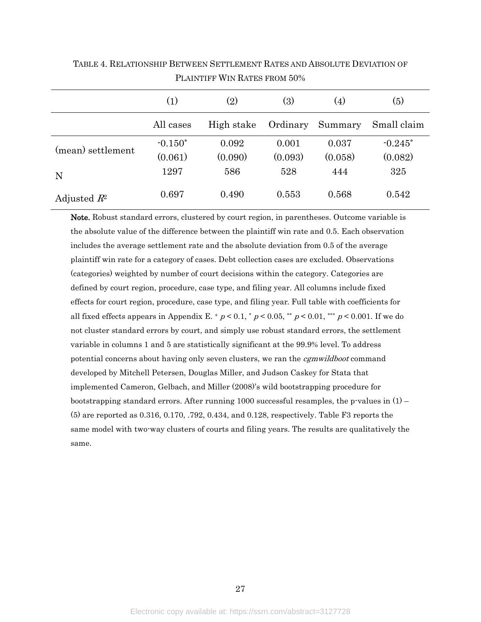|                   | $\left( 1\right)$ | $\rm(2)$   | (3)      | (4)     | (5)         |
|-------------------|-------------------|------------|----------|---------|-------------|
|                   | All cases         | High stake | Ordinary | Summary | Small claim |
| (mean) settlement | $-0.150*$         | 0.092      | 0.001    | 0.037   | $-0.245*$   |
|                   | (0.061)           | (0.090)    | (0.093)  | (0.058) | (0.082)     |
| N                 | 1297              | 586        | 528      | 444     | 325         |
| Adjusted $R^2$    | 0.697             | 0.490      | 0.553    | 0.568   | 0.542       |

<span id="page-27-0"></span>TABLE 4. RELATIONSHIP BETWEEN SETTLEMENT RATES AND ABSOLUTE DEVIATION OF PLAINTIFF WIN RATES FROM 50%

Note. Robust standard errors, clustered by court region, in parentheses. Outcome variable is the absolute value of the difference between the plaintiff win rate and 0.5. Each observation includes the average settlement rate and the absolute deviation from 0.5 of the average plaintiff win rate for a category of cases. Debt collection cases are excluded. Observations (categories) weighted by number of court decisions within the category. Categories are defined by court region, procedure, case type, and filing year. All columns include fixed effects for court region, procedure, case type, and filing year. Full table with coefficients for all fixed effects appears in [Appendix E.](#page-39-0) +  $p < 0.1$ , \*  $p < 0.05$ , \*\*  $p < 0.01$ , \*\*\*  $p < 0.001$ . If we do not cluster standard errors by court, and simply use robust standard errors, the settlement variable in columns 1 and 5 are statistically significant at the 99.9% level. To address potential concerns about having only seven clusters, we ran the *cgmwildboot* command developed by Mitchell Petersen, Douglas Miller, and Judson Caskey for Stata that implemented Cameron, Gelbach, and Miller (2008)'s wild bootstrapping procedure for bootstrapping standard errors. After running 1000 successful resamples, the p-values in  $(1)$  – (5) are reported as 0.316, 0.170, .792, 0.434, and 0.128, respectively. Table F3 reports the same model with two-way clusters of courts and filing years. The results are qualitatively the same.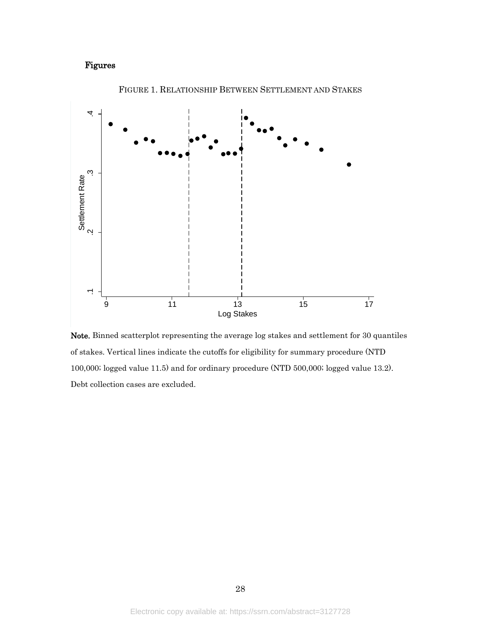## <span id="page-28-0"></span>Figures

<span id="page-28-1"></span>

FIGURE 1. RELATIONSHIP BETWEEN SETTLEMENT AND STAKES

Note. Binned scatterplot representing the average log stakes and settlement for 30 quantiles of stakes. Vertical lines indicate the cutoffs for eligibility for summary procedure (NTD 100,000; logged value 11.5) and for ordinary procedure (NTD 500,000; logged value 13.2).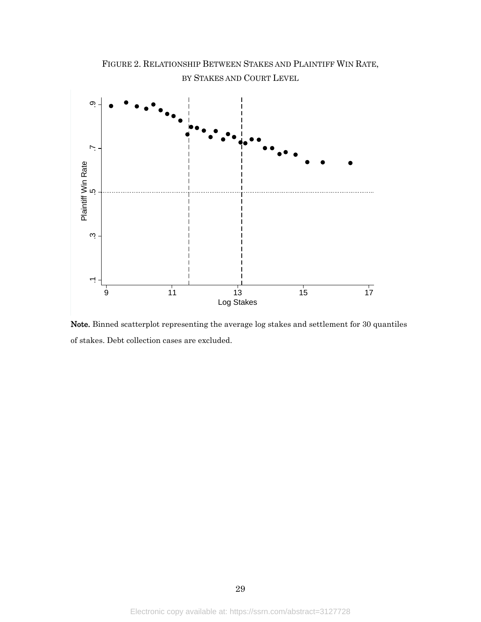<span id="page-29-0"></span>

Note. Binned scatterplot representing the average log stakes and settlement for 30 quantiles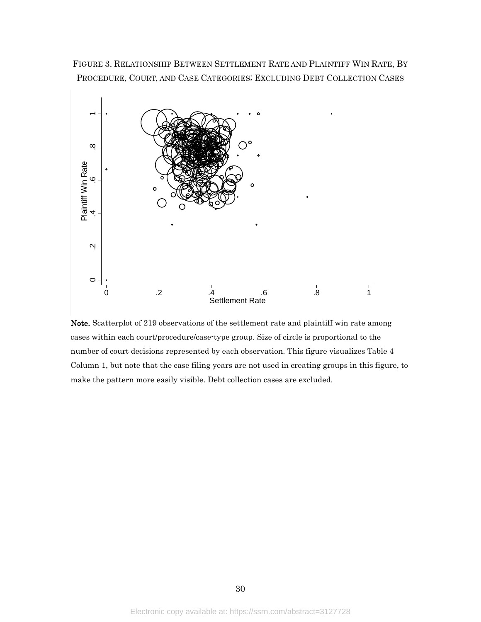<span id="page-30-0"></span>FIGURE 3. RELATIONSHIP BETWEEN SETTLEMENT RATE AND PLAINTIFF WIN RATE, BY PROCEDURE, COURT, AND CASE CATEGORIES; EXCLUDING DEBT COLLECTION CASES



Note. Scatterplot of 219 observations of the settlement rate and plaintiff win rate among cases within each court/procedure/case-type group. Size of circle is proportional to the number of court decisions represented by each observation. This figure visualizes [Table 4](#page-27-0) Column 1, but note that the case filing years are not used in creating groups in this figure, to make the pattern more easily visible. Debt collection cases are excluded.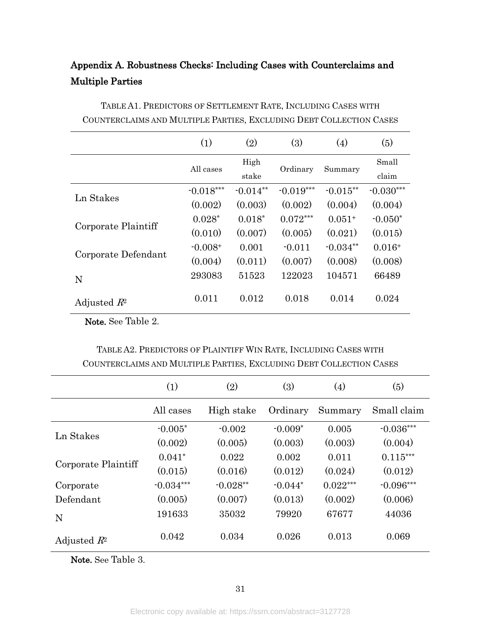<span id="page-31-0"></span>

|                         | Appendix A. Robustness Checks: Including Cases with Counterclaims and |  |  |  |
|-------------------------|-----------------------------------------------------------------------|--|--|--|
| <b>Multiple Parties</b> |                                                                       |  |  |  |

|                     | (1)         | (2)               | (3)         | (4)        | (5)         |
|---------------------|-------------|-------------------|-------------|------------|-------------|
|                     | All cases   | High              |             | Summary    | Small       |
|                     |             | Ordinary<br>stake |             |            | claim       |
| Ln Stakes           | $-0.018***$ | $-0.014**$        | $-0.019***$ | $-0.015**$ | $-0.030***$ |
|                     | (0.002)     | (0.003)           | (0.002)     | (0.004)    | (0.004)     |
|                     | $0.028*$    | $0.018*$          | $0.072***$  | $0.051+$   | $-0.050*$   |
| Corporate Plaintiff | (0.010)     | (0.007)           | (0.005)     | (0.021)    | (0.015)     |
|                     | $-0.008+$   | 0.001             | $-0.011$    | $-0.034**$ | $0.016+$    |
| Corporate Defendant | (0.004)     | (0.011)           | (0.007)     | (0.008)    | (0.008)     |
| N                   | 293083      | 51523             | 122023      | 104571     | 66489       |
| Adjusted $R^2$      | 0.011       | 0.012             | 0.018       | 0.014      | 0.024       |

TABLE A1. PREDICTORS OF SETTLEMENT RATE, INCLUDING CASES WITH COUNTERCLAIMS AND MULTIPLE PARTIES, EXCLUDING DEBT COLLECTION CASES

Note. See [Table 2.](#page-25-0)

| TABLE A2. PREDICTORS OF PLAINTIFF WIN RATE, INCLUDING CASES WITH    |
|---------------------------------------------------------------------|
| COUNTERCLAIMS AND MULTIPLE PARTIES, EXCLUDING DEBT COLLECTION CASES |

|                     | (1)         | (2)        | (3)       | (4)        | (5)         |
|---------------------|-------------|------------|-----------|------------|-------------|
|                     | All cases   | High stake | Ordinary  | Summary    | Small claim |
| Ln Stakes           | $-0.005*$   | $-0.002$   | $-0.009*$ | 0.005      | $-0.036***$ |
|                     | (0.002)     | (0.005)    | (0.003)   | (0.003)    | (0.004)     |
|                     | $0.041*$    | 0.022      | 0.002     | 0.011      | $0.115***$  |
| Corporate Plaintiff | (0.015)     | (0.016)    | (0.012)   | (0.024)    | (0.012)     |
| Corporate           | $-0.034***$ | $-0.028**$ | $-0.044*$ | $0.022***$ | $-0.096***$ |
| Defendant           | (0.005)     | (0.007)    | (0.013)   | (0.002)    | (0.006)     |
| N                   | 191633      | 35032      | 79920     | 67677      | 44036       |
| Adjusted $R^2$      | 0.042       | 0.034      | 0.026     | 0.013      | 0.069       |

Note. See [Table 3.](#page-26-0)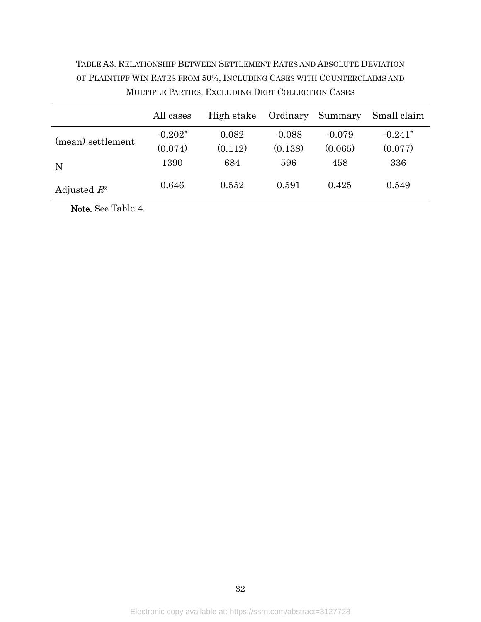# TABLE A3. RELATIONSHIP BETWEEN SETTLEMENT RATES AND ABSOLUTE DEVIATION OF PLAINTIFF WIN RATES FROM 50%, INCLUDING CASES WITH COUNTERCLAIMS AND MULTIPLE PARTIES, EXCLUDING DEBT COLLECTION CASES

|                   | All cases | High stake | Ordinary | Summary  | Small claim |
|-------------------|-----------|------------|----------|----------|-------------|
|                   | $-0.202*$ | 0.082      | $-0.088$ | $-0.079$ | $-0.241*$   |
| (mean) settlement | (0.074)   | (0.112)    | (0.138)  | (0.065)  | (0.077)     |
| N                 | 1390      | 684        | 596      | 458      | 336         |
| Adjusted $R^2$    | 0.646     | 0.552      | 0.591    | 0.425    | 0.549       |

Note. See [Table 4.](#page-27-0)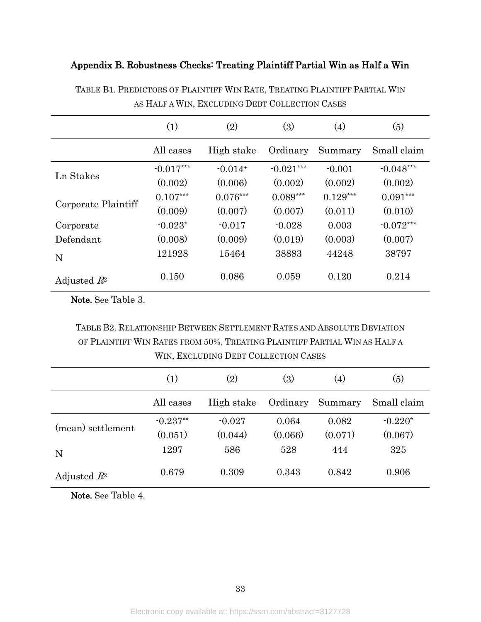## <span id="page-33-0"></span>Appendix B. Robustness Checks: Treating Plaintiff Partial Win as Half a Win

|                     | (1)         | (2)        | (3)         | $\left( 4\right)$ | (5)         |
|---------------------|-------------|------------|-------------|-------------------|-------------|
|                     | All cases   | High stake | Ordinary    | Summary           | Small claim |
| Ln Stakes           | $-0.017***$ | $-0.014+$  | $-0.021***$ | $-0.001$          | $-0.048***$ |
|                     | (0.002)     | (0.006)    | (0.002)     | (0.002)           | (0.002)     |
|                     | $0.107***$  | $0.076***$ | $0.089***$  | $0.129***$        | $0.091***$  |
| Corporate Plaintiff | (0.009)     | (0.007)    | (0.007)     | (0.011)           | (0.010)     |
| Corporate           | $-0.023*$   | $-0.017$   | $-0.028$    | 0.003             | $-0.072***$ |
| Defendant           | (0.008)     | (0.009)    | (0.019)     | (0.003)           | (0.007)     |
| N                   | 121928      | 15464      | 38883       | 44248             | 38797       |
| Adjusted $R^2$      | 0.150       | 0.086      | 0.059       | 0.120             | 0.214       |

TABLE B1. PREDICTORS OF PLAINTIFF WIN RATE, TREATING PLAINTIFF PARTIAL WIN AS HALF A WIN, EXCLUDING DEBT COLLECTION CASES

Note. See [Table 3.](#page-26-0)

TABLE B2. RELATIONSHIP BETWEEN SETTLEMENT RATES AND ABSOLUTE DEVIATION OF PLAINTIFF WIN RATES FROM 50%, TREATING PLAINTIFF PARTIAL WIN AS HALF A WIN, EXCLUDING DEBT COLLECTION CASES

|                   | $\left( 1\right)$ | $\left( 2\right)$ | $\left( 3\right)$ | (4)     | (5)         |
|-------------------|-------------------|-------------------|-------------------|---------|-------------|
|                   | All cases         | High stake        | Ordinary          | Summary | Small claim |
| (mean) settlement | $-0.237**$        | $-0.027$          | 0.064             | 0.082   | $-0.220*$   |
|                   | (0.051)           | (0.044)           | (0.066)           | (0.071) | (0.067)     |
| N                 | 1297              | 586               | 528               | 444     | 325         |
| Adjusted $R^2$    | 0.679             | 0.309             | 0.343             | 0.842   | 0.906       |

Note. See [Table 4.](#page-27-0)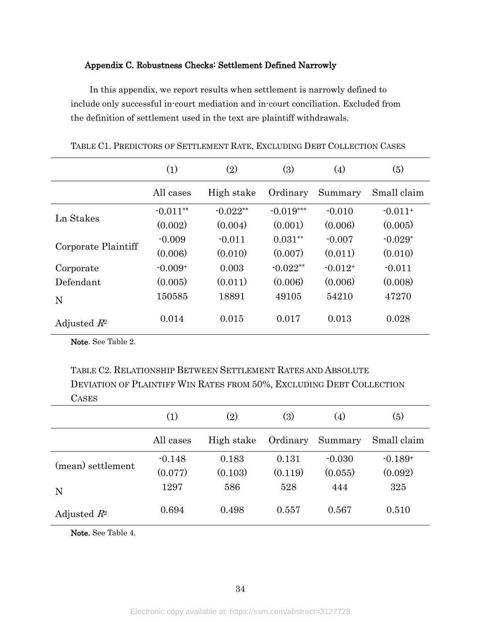### <span id="page-34-0"></span>Appendix C. Robustness Checks: Settlement Defined Narrowly

In this appendix, we report results when settlement is narrowly defined to include only successful in-court mediation and in-court conciliation. Excluded from the definition of settlement used in the text are plaintiff withdrawals.

|                     | (1)        | (2)        | (3)         | (4)       | (5)         |
|---------------------|------------|------------|-------------|-----------|-------------|
|                     | All cases  | High stake | Ordinary    | Summary   | Small claim |
| Ln Stakes           | $-0.011**$ | $-0.022**$ | $-0.019***$ | $-0.010$  | $-0.011+$   |
|                     | (0.002)    | (0.004)    | (0.001)     | (0.006)   | (0.005)     |
|                     | $-0.009$   | $-0.011$   | $0.031**$   | $-0.007$  | $-0.029*$   |
| Corporate Plaintiff | (0.006)    | (0.010)    | (0.007)     | (0.011)   | (0.010)     |
| Corporate           | $-0.009+$  | 0.003      | $-0.022**$  | $-0.012+$ | $-0.011$    |
| Defendant           | (0.005)    | (0.011)    | (0.006)     | (0.006)   | (0.008)     |
| N                   | 150585     | 18891      | 49105       | 54210     | 47270       |
| Adjusted $R^2$      | 0.014      | 0.015      | 0.017       | 0.013     | 0.028       |

TABLE C1. PREDICTORS OF SETTLEMENT RATE, EXCLUDING DEBT COLLECTION CASES

Note. See [Table 2.](#page-25-0)

TABLE C2. RELATIONSHIP BETWEEN SETTLEMENT RATES AND ABSOLUTE DEVIATION OF PLAINTIFF WIN RATES FROM 50%, EXCLUDING DEBT COLLECTION **CASES** 

|                   | $\left( 1\right)$ | (2)        | (3)      | (4)      | (5)         |
|-------------------|-------------------|------------|----------|----------|-------------|
|                   | All cases         | High stake | Ordinary | Summary  | Small claim |
|                   | $-0.148$          | 0.183      | 0.131    | $-0.030$ | $-0.189+$   |
| (mean) settlement | (0.077)           | (0.103)    | (0.119)  | (0.055)  | (0.092)     |
| N                 | 1297              | 586        | 528      | 444      | 325         |
| Adjusted $R^2$    | 0.694             | 0.498      | 0.557    | 0.567    | 0.510       |

Note. See [Table 4.](#page-27-0)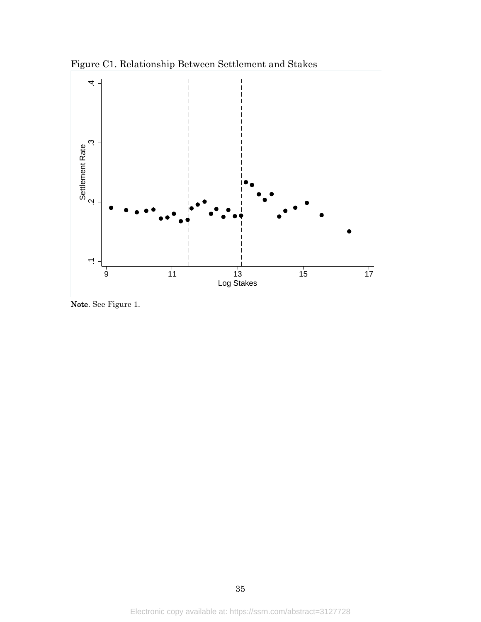Figure C1. Relationship Between Settlement and Stakes

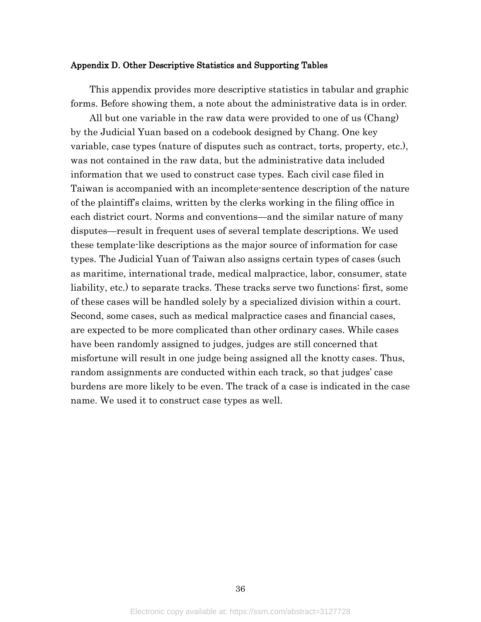#### <span id="page-36-0"></span>Appendix D. Other Descriptive Statistics and Supporting Tables

This appendix provides more descriptive statistics in tabular and graphic forms. Before showing them, a note about the administrative data is in order.

All but one variable in the raw data were provided to one of us (Chang) by the Judicial Yuan based on a codebook designed by Chang. One key variable, case types (nature of disputes such as contract, torts, property, etc.), was not contained in the raw data, but the administrative data included information that we used to construct case types. Each civil case filed in Taiwan is accompanied with an incomplete-sentence description of the nature of the plaintiff's claims, written by the clerks working in the filing office in each district court. Norms and conventions—and the similar nature of many disputes—result in frequent uses of several template descriptions. We used these template-like descriptions as the major source of information for case types. The Judicial Yuan of Taiwan also assigns certain types of cases (such as maritime, international trade, medical malpractice, labor, consumer, state liability, etc.) to separate tracks. These tracks serve two functions: first, some of these cases will be handled solely by a specialized division within a court. Second, some cases, such as medical malpractice cases and financial cases, are expected to be more complicated than other ordinary cases. While cases have been randomly assigned to judges, judges are still concerned that misfortune will result in one judge being assigned all the knotty cases. Thus, random assignments are conducted within each track, so that judges' case burdens are more likely to be even. The track of a case is indicated in the case name. We used it to construct case types as well.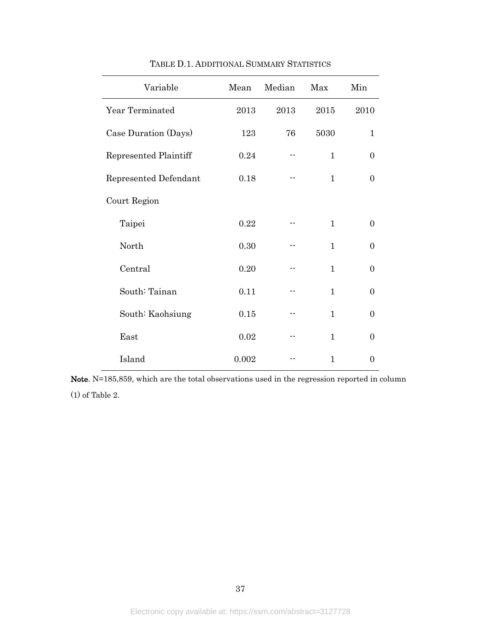<span id="page-37-0"></span>

| Variable              | Mean  | Median | Max          | Min            |
|-----------------------|-------|--------|--------------|----------------|
| Year Terminated       | 2013  | 2013   | 2015         | 2010           |
| Case Duration (Days)  | 123   | 76     | 5030         | $\mathbf{1}$   |
| Represented Plaintiff | 0.24  |        | $\mathbf{1}$ | $\overline{0}$ |
| Represented Defendant | 0.18  |        | $\mathbf{1}$ | 0              |
| Court Region          |       |        |              |                |
| Taipei                | 0.22  |        | $\mathbf{1}$ | $\overline{0}$ |
| North                 | 0.30  |        | $\mathbf{1}$ | $\overline{0}$ |
| Central               | 0.20  |        | 1            | $\Omega$       |
| South: Tainan         | 0.11  |        | 1            | $\overline{0}$ |
| South: Kaohsiung      | 0.15  |        | $\mathbf{1}$ | 0              |
| East                  | 0.02  |        | $\mathbf{1}$ | $\Omega$       |
| Island                | 0.002 |        | 1            | 0              |

TABLE D.1. ADDITIONAL SUMMARY STATISTICS

Note. N=185,859, which are the total observations used in the regression reported in column (1) of [Table 2.](#page-25-0)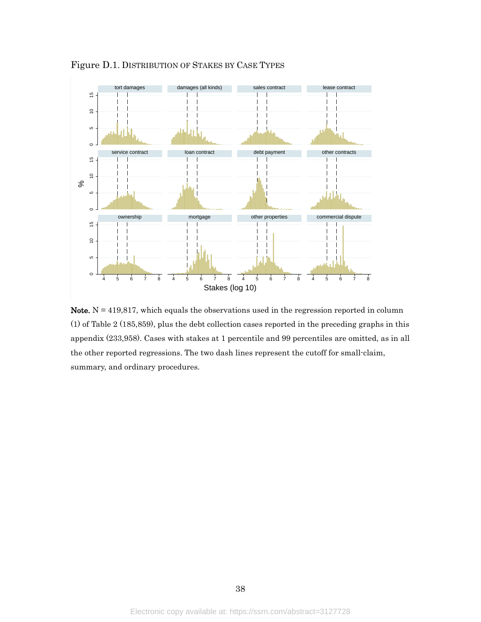

<span id="page-38-0"></span>Figure D.1. DISTRIBUTION OF STAKES BY CASE TYPES

Note.  $N = 419,817$ , which equals the observations used in the regression reported in column (1) of [Table 2](#page-25-0) (185,859), plus the debt collection cases reported in the preceding graphs in this appendix (233,958). Cases with stakes at 1 percentile and 99 percentiles are omitted, as in all the other reported regressions. The two dash lines represent the cutoff for small-claim, summary, and ordinary procedures.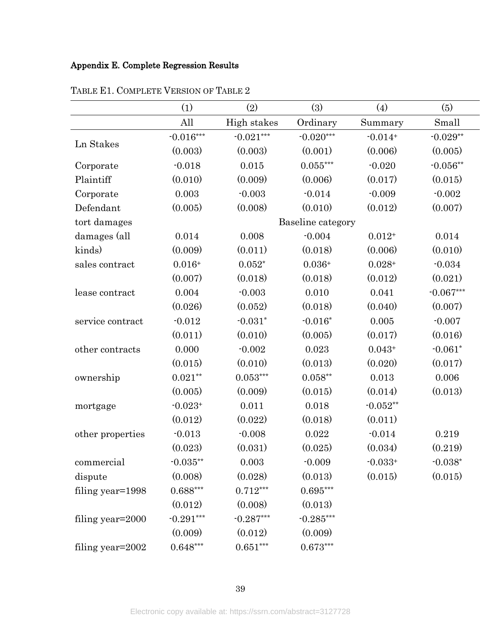## <span id="page-39-0"></span>Appendix E. Complete Regression Results

|                  | (1)         | (2)         | (3)                | (4)        | (5)         |
|------------------|-------------|-------------|--------------------|------------|-------------|
|                  | All         | High stakes | Ordinary           | Summary    | Small       |
| Ln Stakes        | $-0.016***$ | $-0.021***$ | $-0.020***$        | $-0.014+$  | $-0.029**$  |
|                  | (0.003)     | (0.003)     | (0.001)            | (0.006)    | (0.005)     |
| Corporate        | $-0.018$    | 0.015       | $0.055***$         | $-0.020$   | $-0.056**$  |
| Plaintiff        | (0.010)     | (0.009)     | (0.006)            | (0.017)    | (0.015)     |
| Corporate        | 0.003       | $-0.003$    | $-0.014$           | $-0.009$   | $-0.002$    |
| Defendant        | (0.005)     | (0.008)     | (0.010)            | (0.012)    | (0.007)     |
| tort damages     |             |             | Baseline category  |            |             |
| damages (all     | 0.014       | 0.008       | $-0.004$           | $0.012+$   | 0.014       |
| kinds)           | (0.009)     | (0.011)     | (0.018)            | (0.006)    | (0.010)     |
| sales contract   | $0.016+$    | $0.052*$    | $0.036+$           | $0.028+$   | $-0.034$    |
|                  | (0.007)     | (0.018)     | (0.018)            | (0.012)    | (0.021)     |
| lease contract   | 0.004       | $-0.003$    | 0.010              | 0.041      | $-0.067***$ |
|                  | (0.026)     | (0.052)     | (0.018)            | (0.040)    | (0.007)     |
| service contract | $-0.012$    | $-0.031*$   | $-0.016*$          | 0.005      | $-0.007$    |
|                  | (0.011)     | (0.010)     | (0.005)            | (0.017)    | (0.016)     |
| other contracts  | 0.000       | $-0.002$    | 0.023              | $0.043+$   | $-0.061*$   |
|                  | (0.015)     | (0.010)     | (0.013)            | (0.020)    | (0.017)     |
| ownership        | $0.021**$   | $0.053***$  | $0.058^{\ast\ast}$ | 0.013      | 0.006       |
|                  | (0.005)     | (0.009)     | (0.015)            | (0.014)    | (0.013)     |
| mortgage         | $-0.023+$   | 0.011       | 0.018              | $-0.052**$ |             |
|                  | (0.012)     | (0.022)     | (0.018)            | (0.011)    |             |
| other properties | $-0.013$    | $-0.008$    | 0.022              | $-0.014$   | 0.219       |
|                  | (0.023)     | (0.031)     | (0.025)            | (0.034)    | (0.219)     |
| commercial       | $-0.035**$  | 0.003       | $-0.009$           | $-0.033+$  | $-0.038*$   |
| dispute          | (0.008)     | (0.028)     | (0.013)            | (0.015)    | (0.015)     |
| filing year=1998 | $0.688***$  | $0.712***$  | $0.695***$         |            |             |
|                  | (0.012)     | (0.008)     | (0.013)            |            |             |
| filing year=2000 | $-0.291***$ | $-0.287***$ | $-0.285***$        |            |             |
|                  | (0.009)     | (0.012)     | (0.009)            |            |             |
| filing year=2002 | $0.648***$  | $0.651***$  | $0.673***$         |            |             |

TABLE E1. COMPLETE VERSION OF [TABLE 2](#page-25-0)

39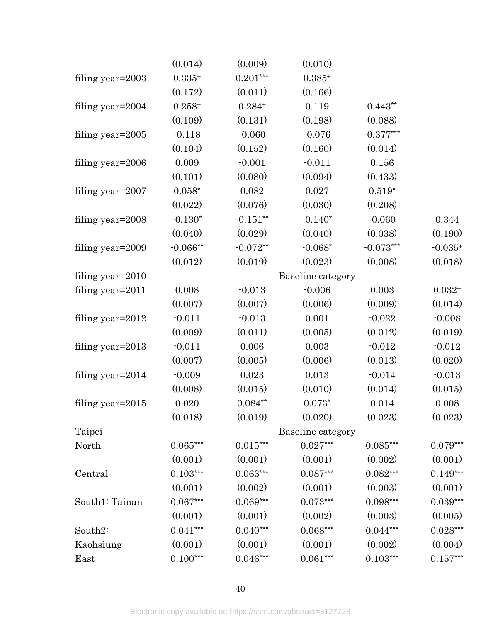|                     | (0.014)        | (0.009)         | (0.010)                |                        |            |
|---------------------|----------------|-----------------|------------------------|------------------------|------------|
| filing year=2003    | $0.335+$       | $0.201***$      | $0.385+$               |                        |            |
|                     | (0.172)        | (0.011)         | (0.166)                |                        |            |
| filing year=2004    | $0.258+$       | $0.284+$        | 0.119                  | $0.443**$              |            |
|                     | (0.109)        | (0.131)         | (0.198)                | (0.088)                |            |
| filing year=2005    | $-0.118$       | $-0.060$        | $-0.076$               | $-0.377***$            |            |
|                     | (0.104)        | (0.152)         | (0.160)                | (0.014)                |            |
| filing year=2006    | 0.009          | $-0.001$        | $-0.011$               | 0.156                  |            |
|                     | (0.101)        | (0.080)         | (0.094)                | (0.433)                |            |
| filing year=2007    | $0.058^{\ast}$ | 0.082           | 0.027                  | $0.519*$               |            |
|                     | (0.022)        | (0.076)         | (0.030)                | (0.208)                |            |
| filing year=2008    | $-0.130*$      | $-0.151**$      | $-0.140*$              | $-0.060$               | 0.344      |
|                     | (0.040)        | (0.029)         | (0.040)                | (0.038)                | (0.190)    |
| filing year=2009    | $-0.066**$     | $-0.072**$      | $-0.068*$              | $-0.073***$            | $-0.035+$  |
|                     | (0.012)        | (0.019)         | (0.023)                | (0.008)                | (0.018)    |
| filing year=2010    |                |                 | Baseline category      |                        |            |
| filing year=2011    | 0.008          | $-0.013$        | $-0.006$               | 0.003                  | $0.032 +$  |
|                     | (0.007)        | (0.007)         | (0.006)                | (0.009)                | (0.014)    |
| filing year=2012    | $-0.011$       | $-0.013$        | 0.001                  | $-0.022$               | $-0.008$   |
|                     | (0.009)        | (0.011)         | (0.005)                | (0.012)                | (0.019)    |
| filing year=2013    | $-0.011$       | 0.006           | 0.003                  | $-0.012$               | $-0.012$   |
|                     | (0.007)        | (0.005)         | (0.006)                | (0.013)                | (0.020)    |
| filing year=2014    | $-0.009$       | 0.023           | 0.013                  | $-0.014$               | $-0.013$   |
|                     | (0.008)        | (0.015)         | (0.010)                | (0.014)                | (0.015)    |
| filing year= $2015$ | 0.020          | $0.084^{**}$    | $0.073*$               | 0.014                  | 0.008      |
|                     | (0.018)        | (0.019)         | (0.020)                | (0.023)                | (0.023)    |
| Taipei              |                |                 | Baseline category      |                        |            |
| North               | $0.065***$     | $0.015***$      | $0.027***$             | $0.085^{\ast\ast\ast}$ | $0.079***$ |
|                     | (0.001)        | (0.001)         | (0.001)                | (0.002)                | (0.001)    |
| Central             | $0.103***$     | $0.063^{***}\,$ | $0.087***$             | $0.082^{\ast\ast\ast}$ | $0.149***$ |
|                     | (0.001)        | (0.002)         | (0.001)                | (0.003)                | (0.001)    |
| South1: Tainan      | $0.067***$     | $0.069***$      | $0.073***$             | $0.098***$             | $0.039***$ |
|                     | (0.001)        | (0.001)         | (0.002)                | (0.003)                | (0.005)    |
| South2:             | $0.041***$     | $0.040***$      | $0.068^{\ast\ast\ast}$ | $0.044***$             | $0.028***$ |
| Kaohsiung           | (0.001)        | (0.001)         | (0.001)                | (0.002)                | (0.004)    |
| East                | $0.100***$     | $0.046***$      | $0.061***$             | $0.103***$             | $0.157***$ |

40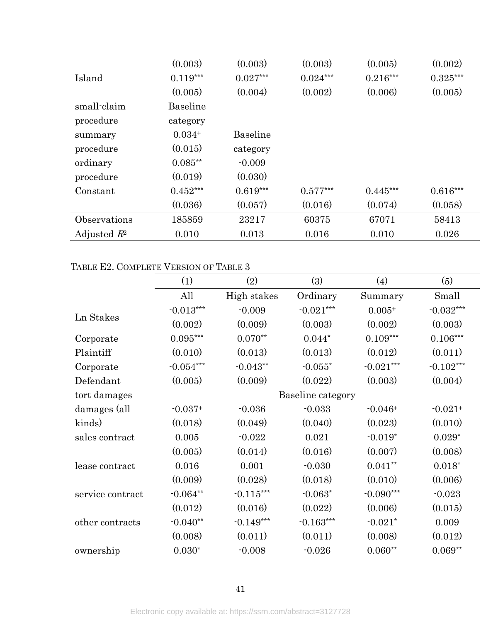|                | (0.003)    | (0.003)         | (0.003)    | (0.005)    | (0.002)    |
|----------------|------------|-----------------|------------|------------|------------|
| Island         | $0.119***$ | $0.027***$      | $0.024***$ | $0.216***$ | $0.325***$ |
|                | (0.005)    | (0.004)         | (0.002)    | (0.006)    | (0.005)    |
| small-claim    | Baseline   |                 |            |            |            |
| procedure      | category   |                 |            |            |            |
| summary        | $0.034+$   | <b>Baseline</b> |            |            |            |
| procedure      | (0.015)    | category        |            |            |            |
| ordinary       | $0.085**$  | $-0.009$        |            |            |            |
| procedure      | (0.019)    | (0.030)         |            |            |            |
| Constant       | $0.452***$ | $0.619***$      | $0.577***$ | $0.445***$ | $0.616***$ |
|                | (0.036)    | (0.057)         | (0.016)    | (0.074)    | (0.058)    |
| Observations   | 185859     | 23217           | 60375      | 67071      | 58413      |
| Adjusted $R^2$ | 0.010      | 0.013           | 0.016      | 0.010      | 0.026      |

# TABLE E2. COMPLETE VERSION OF [TABLE 3](#page-26-0)

|                  | (1)                 | (2)         | (3)               | $\left( 4\right)$ | (5)         |
|------------------|---------------------|-------------|-------------------|-------------------|-------------|
|                  | All                 | High stakes | Ordinary          | Summary           | Small       |
|                  | $\cdot 0.013^{***}$ | $-0.009$    | $-0.021***$       | $0.005+$          | $-0.032***$ |
| Ln Stakes        | (0.002)             | (0.009)     | (0.003)           | (0.002)           | (0.003)     |
| Corporate        | $0.095\mbox{***}$   | $0.070**$   | $0.044*$          | $0.109***$        | $0.106***$  |
| Plaintiff        | (0.010)             | (0.013)     | (0.013)           | (0.012)           | (0.011)     |
| Corporate        | $-0.054***$         | $-0.043**$  | $-0.055*$         | $-0.021***$       | $-0.102***$ |
| Defendant        | (0.005)             | (0.009)     | (0.022)           | (0.003)           | (0.004)     |
| tort damages     |                     |             | Baseline category |                   |             |
| damages (all     | $-0.037+$           | $-0.036$    | $-0.033$          | $-0.046+$         | $-0.021+$   |
| kinds)           | (0.018)             | (0.049)     | (0.040)           | (0.023)           | (0.010)     |
| sales contract   | 0.005               | $-0.022$    | 0.021             | $-0.019*$         | $0.029*$    |
|                  | (0.005)             | (0.014)     | (0.016)           | (0.007)           | (0.008)     |
| lease contract   | 0.016               | 0.001       | $-0.030$          | $0.041**$         | $0.018*$    |
|                  | (0.009)             | (0.028)     | (0.018)           | (0.010)           | (0.006)     |
| service contract | $-0.064**$          | $-0.115***$ | $-0.063*$         | $-0.090***$       | $-0.023$    |
|                  | (0.012)             | (0.016)     | (0.022)           | (0.006)           | (0.015)     |
| other contracts  | $-0.040**$          | $-0.149***$ | $-0.163***$       | $-0.021*$         | 0.009       |
|                  | (0.008)             | (0.011)     | (0.011)           | (0.008)           | (0.012)     |
| ownership        | $0.030*$            | $-0.008$    | $-0.026$          | $0.060**$         | $0.069**$   |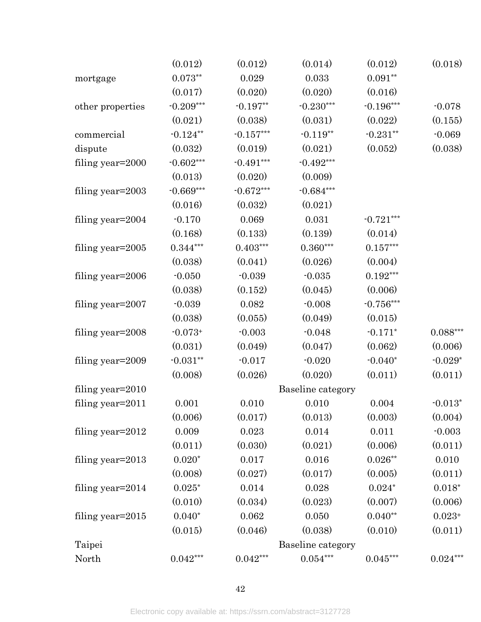|                     | (0.012)      | (0.012)     | (0.014)           | (0.012)            | (0.018)                 |
|---------------------|--------------|-------------|-------------------|--------------------|-------------------------|
| mortgage            | $0.073**$    | 0.029       | 0.033             | $0.091^{\ast\ast}$ |                         |
|                     | (0.017)      | (0.020)     | (0.020)           | (0.016)            |                         |
| other properties    | $-0.209***$  | $-0.197**$  | $-0.230***$       | $-0.196***$        | $-0.078$                |
|                     | (0.021)      | (0.038)     | (0.031)           | (0.022)            | (0.155)                 |
| commercial          | $-0.124**$   | $-0.157***$ | $-0.119**$        | $-0.231**$         | $-0.069$                |
| dispute             | (0.032)      | (0.019)     | (0.021)           | (0.052)            | (0.038)                 |
| filing year=2000    | $-0.602***$  | $-0.491***$ | $-0.492***$       |                    |                         |
|                     | (0.013)      | (0.020)     | (0.009)           |                    |                         |
| filing year=2003    | $-0.669***$  | $-0.672***$ | $-0.684***$       |                    |                         |
|                     | (0.016)      | (0.032)     | (0.021)           |                    |                         |
| filing year=2004    | $-0.170$     | 0.069       | 0.031             | $-0.721***$        |                         |
|                     | (0.168)      | (0.133)     | (0.139)           | (0.014)            |                         |
| filing year=2005    | $0.344***$   | $0.403***$  | $0.360***$        | $0.157***$         |                         |
|                     | (0.038)      | (0.041)     | (0.026)           | (0.004)            |                         |
| filing year=2006    | $-0.050$     | $-0.039$    | $-0.035$          | $0.192***$         |                         |
|                     | (0.038)      | (0.152)     | (0.045)           | (0.006)            |                         |
| filing year=2007    | $-0.039$     | 0.082       | $-0.008$          | $-0.756***$        |                         |
|                     | (0.038)      | (0.055)     | (0.049)           | (0.015)            |                         |
| filing year=2008    | $-0.073+$    | $-0.003$    | $-0.048$          | $-0.171*$          | $0.088***$              |
|                     | (0.031)      | (0.049)     | (0.047)           | (0.062)            | (0.006)                 |
| filing year=2009    | $-0.031**$   | $-0.017$    | $-0.020$          | $-0.040*$          | $\textnormal{-}0.029^*$ |
|                     | (0.008)      | (0.026)     | (0.020)           | (0.011)            | (0.011)                 |
| filing year=2010    |              |             | Baseline category |                    |                         |
| filing year=2011    | 0.001        | 0.010       | 0.010             | 0.004              | $\textnormal{-}0.013^*$ |
|                     | (0.006)      | (0.017)     | (0.013)           | (0.003)            | (0.004)                 |
| filing year=2012    | 0.009        | 0.023       | 0.014             | 0.011              | $-0.003$                |
|                     | (0.011)      | (0.030)     | (0.021)           | (0.006)            | (0.011)                 |
| filing year= $2013$ | $0.020*$     | 0.017       | 0.016             | $0.026^{\ast\ast}$ | 0.010                   |
|                     | (0.008)      | (0.027)     | (0.017)           | (0.005)            | (0.011)                 |
| filing year= $2014$ | $0.025^\ast$ | 0.014       | 0.028             | $0.024*$           | $0.018^\ast$            |
|                     | (0.010)      | (0.034)     | (0.023)           | (0.007)            | (0.006)                 |
| filing year= $2015$ | $0.040*$     | 0.062       | 0.050             | $0.040**$          | $0.023^{\mathrm{+}}$    |
|                     | (0.015)      | (0.046)     | (0.038)           | (0.010)            | (0.011)                 |
| Taipei              |              |             | Baseline category |                    |                         |
| North               | $0.042***$   | $0.042***$  | $0.054***$        | $0.045\sp{***}$    | $0.024***$              |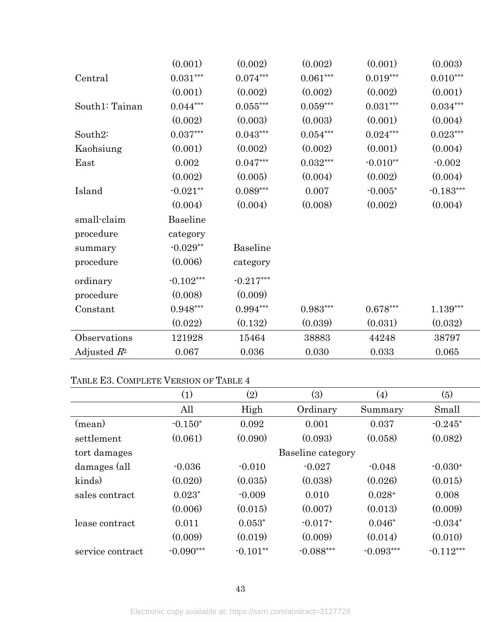|                | (0.001)                  | (0.002)           | (0.002)         | (0.001)    | (0.003)     |
|----------------|--------------------------|-------------------|-----------------|------------|-------------|
| Central        | $0.031^{\ast\ast\ast}$   | $0.074^{***}\,$   | $0.061^{***}\,$ | $0.019***$ | $0.010***$  |
|                | (0.001)                  | (0.002)           | (0.002)         | (0.002)    | (0.001)     |
| South1: Tainan | $0.044***$               | $0.055\mbox{***}$ | $0.059***$      | $0.031***$ | $0.034***$  |
|                | (0.002)                  | (0.003)           | (0.003)         | (0.001)    | (0.004)     |
| South2:        | $0.037\mbox{\tiny{***}}$ | $0.043^{***}\,$   | $0.054^{***}\,$ | $0.024***$ | $0.023***$  |
| Kaohsiung      | (0.001)                  | (0.002)           | (0.002)         | (0.001)    | (0.004)     |
| East           | 0.002                    | $0.047***$        | $0.032***$      | $-0.010**$ | $-0.002$    |
|                | (0.002)                  | (0.005)           | (0.004)         | (0.002)    | (0.004)     |
| Island         | $-0.021**$               | $0.089***$        | 0.007           | $-0.005*$  | $-0.183***$ |
|                | (0.004)                  | (0.004)           | (0.008)         | (0.002)    | (0.004)     |
| small-claim    | Baseline                 |                   |                 |            |             |
| procedure      | category                 |                   |                 |            |             |
| summary        | $-0.029**$               | <b>Baseline</b>   |                 |            |             |
| procedure      | (0.006)                  | category          |                 |            |             |
| ordinary       | $-0.102***$              | $-0.217***$       |                 |            |             |
| procedure      | (0.008)                  | (0.009)           |                 |            |             |
| Constant       | $0.948***$               | $0.994***$        | $0.983***$      | $0.678***$ | 1.139***    |
|                | (0.022)                  | (0.132)           | (0.039)         | (0.031)    | (0.032)     |
| Observations   | 121928                   | 15464             | 38883           | 44248      | 38797       |
| Adjusted $R^2$ | 0.067                    | 0.036             | 0.030           | 0.033      | 0.065       |

# TABLE E3. COMPLETE VERSION OF [TABLE 4](#page-27-0)

|                  | (1)         | $\left( 2\right)$ | (3)               | $\left( 4\right)$ | (5)         |
|------------------|-------------|-------------------|-------------------|-------------------|-------------|
|                  | All         | High              | Ordinary          | Summary           | Small       |
| (mean)           | $-0.150*$   | 0.092             | 0.001             | 0.037             | $-0.245*$   |
| settlement       | (0.061)     | (0.090)           | (0.093)           | (0.058)           | (0.082)     |
| tort damages     |             |                   | Baseline category |                   |             |
| damages (all     | $-0.036$    | $-0.010$          | $-0.027$          | $-0.048$          | $-0.030+$   |
| kinds)           | (0.020)     | (0.035)           | (0.038)           | (0.026)           | (0.015)     |
| sales contract   | $0.023*$    | $-0.009$          | 0.010             | $0.028+$          | 0.008       |
|                  | (0.006)     | (0.015)           | (0.007)           | (0.013)           | (0.009)     |
| lease contract   | 0.011       | $0.053*$          | $-0.017+$         | $0.046*$          | $-0.034*$   |
|                  | (0.009)     | (0.019)           | (0.009)           | (0.014)           | (0.010)     |
| service contract | $-0.090***$ | $-0.101**$        | $-0.088***$       | $-0.093***$       | $-0.112***$ |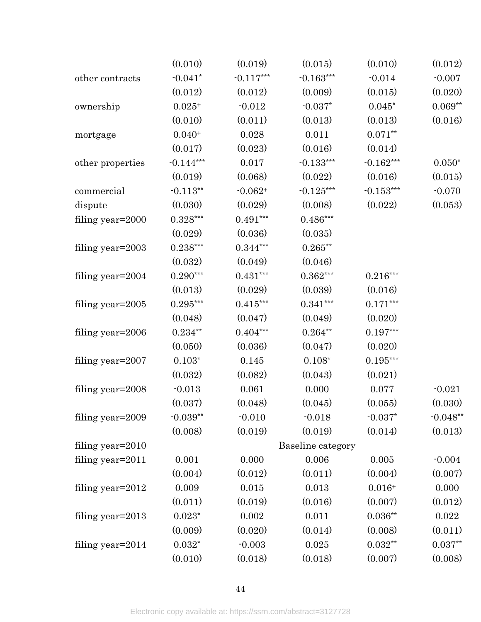|                     | (0.010)        | (0.019)     | (0.015)           | (0.010)     | (0.012)     |
|---------------------|----------------|-------------|-------------------|-------------|-------------|
| other contracts     | $-0.041*$      | $-0.117***$ | $-0.163***$       | $-0.014$    | $-0.007$    |
|                     | (0.012)        | (0.012)     | (0.009)           | (0.015)     | (0.020)     |
| ownership           | $0.025+$       | $-0.012$    | $-0.037*$         | $0.045*$    | $0.069**$   |
|                     | (0.010)        | (0.011)     | (0.013)           | (0.013)     | (0.016)     |
| mortgage            | $0.040+$       | 0.028       | 0.011             | $0.071**$   |             |
|                     | (0.017)        | (0.023)     | (0.016)           | (0.014)     |             |
| other properties    | $-0.144***$    | 0.017       | $-0.133***$       | $-0.162***$ | $0.050*$    |
|                     | (0.019)        | (0.068)     | (0.022)           | (0.016)     | (0.015)     |
| commercial          | $-0.113**$     | $-0.062+$   | $-0.125***$       | $-0.153***$ | $-0.070$    |
| dispute             | (0.030)        | (0.029)     | (0.008)           | (0.022)     | (0.053)     |
| filing year=2000    | $0.328***$     | $0.491***$  | $0.486***$        |             |             |
|                     | (0.029)        | (0.036)     | (0.035)           |             |             |
| filing year=2003    | $0.238***$     | $0.344***$  | $0.265***$        |             |             |
|                     | (0.032)        | (0.049)     | (0.046)           |             |             |
| filing year=2004    | $0.290***$     | $0.431***$  | $0.362***$        | $0.216***$  |             |
|                     | (0.013)        | (0.029)     | (0.039)           | (0.016)     |             |
| filing year=2005    | $0.295***$     | $0.415***$  | $0.341***$        | $0.171***$  |             |
|                     | (0.048)        | (0.047)     | (0.049)           | (0.020)     |             |
| filing year=2006    | $0.234***$     | $0.404***$  | $0.264**$         | $0.197***$  |             |
|                     | (0.050)        | (0.036)     | (0.047)           | (0.020)     |             |
| filing year=2007    | $0.103*$       | 0.145       | $0.108*$          | $0.195***$  |             |
|                     | (0.032)        | (0.082)     | (0.043)           | (0.021)     |             |
| filing year=2008    | $-0.013$       | 0.061       | 0.000             | 0.077       | $-0.021$    |
|                     | (0.037)        | (0.048)     | (0.045)           | (0.055)     | (0.030)     |
| filing year=2009    | $-0.039**$     | $-0.010$    | $-0.018$          | $-0.037*$   | $-0.048**$  |
|                     | (0.008)        | (0.019)     | (0.019)           | (0.014)     | (0.013)     |
| filing year=2010    |                |             | Baseline category |             |             |
| filing year=2011    | 0.001          | 0.000       | 0.006             | 0.005       | $-0.004$    |
|                     | (0.004)        | (0.012)     | (0.011)           | (0.004)     | (0.007)     |
| filing year=2012    | 0.009          | 0.015       | 0.013             | $0.016+$    | 0.000       |
|                     | (0.011)        | (0.019)     | (0.016)           | (0.007)     | (0.012)     |
| filing year= $2013$ | $0.023*$       | 0.002       | 0.011             | $0.036**$   | $\,0.022\,$ |
|                     | (0.009)        | (0.020)     | (0.014)           | (0.008)     | (0.011)     |
| filing year=2014    | $0.032^{\ast}$ | $-0.003$    | 0.025             | $0.032**$   | $0.037**$   |
|                     | (0.010)        | (0.018)     | (0.018)           | (0.007)     | (0.008)     |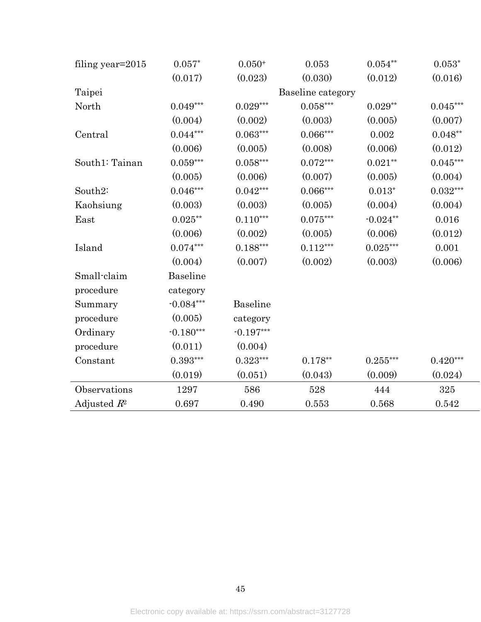| filing year=2015 | $0.057*$    | $0.050+$               | 0.053             | $0.054^{\ast\ast}$ | $0.053*$   |
|------------------|-------------|------------------------|-------------------|--------------------|------------|
|                  | (0.017)     | (0.023)                | (0.030)           | (0.012)            | (0.016)    |
| Taipei           |             |                        | Baseline category |                    |            |
| North            | $0.049***$  | $0.029***$             | $0.058***$        | $0.029**$          | $0.045***$ |
|                  | (0.004)     | (0.002)                | (0.003)           | (0.005)            | (0.007)    |
| Central          | $0.044***$  | $0.063***$             | $0.066***$        | $0.002\,$          | $0.048**$  |
|                  | (0.006)     | (0.005)                | (0.008)           | (0.006)            | (0.012)    |
| South1: Tainan   | $0.059***$  | $0.058^{\ast\ast\ast}$ | $0.072***$        | $0.021**$          | $0.045***$ |
|                  | (0.005)     | (0.006)                | (0.007)           | (0.005)            | (0.004)    |
| South2:          | $0.046***$  | $0.042***$             | $0.066***$        | $0.013*$           | $0.032***$ |
| Kaohsiung        | (0.003)     | (0.003)                | (0.005)           | (0.004)            | (0.004)    |
| East             | $0.025***$  | $0.110***$             | $0.075***$        | $-0.024**$         | 0.016      |
|                  | (0.006)     | (0.002)                | (0.005)           | (0.006)            | (0.012)    |
| Island           | $0.074***$  | $0.188***$             | $0.112***$        | $0.025***$         | 0.001      |
|                  | (0.004)     | (0.007)                | (0.002)           | (0.003)            | (0.006)    |
| Small-claim      | Baseline    |                        |                   |                    |            |
| procedure        | category    |                        |                   |                    |            |
| Summary          | $-0.084***$ | Baseline               |                   |                    |            |
| procedure        | (0.005)     | category               |                   |                    |            |
| Ordinary         | $-0.180***$ | $-0.197***$            |                   |                    |            |
| procedure        | (0.011)     | (0.004)                |                   |                    |            |
| Constant         | $0.393***$  | $0.323***$             | $0.178**$         | $0.255***$         | $0.420***$ |
|                  | (0.019)     | (0.051)                | (0.043)           | (0.009)            | (0.024)    |
| Observations     | 1297        | 586                    | 528               | 444                | 325        |
| Adjusted $R^2$   | 0.697       | 0.490                  | 0.553             | 0.568              | 0.542      |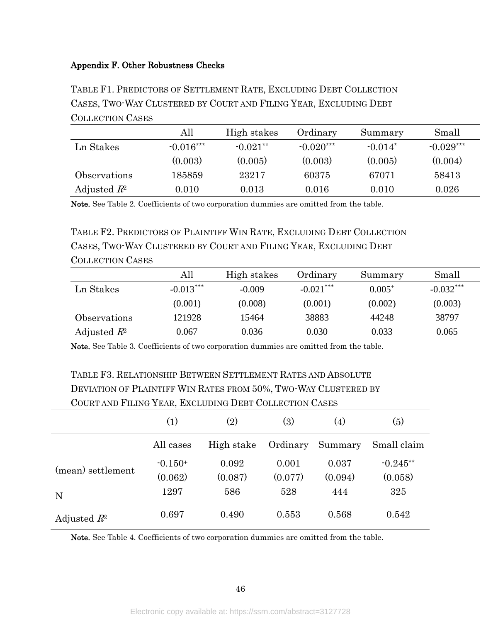## <span id="page-46-0"></span>Appendix F. Other Robustness Checks

TABLE F1. PREDICTORS OF SETTLEMENT RATE, EXCLUDING DEBT COLLECTION CASES, TWO-WAY CLUSTERED BY COURT AND FILING YEAR, EXCLUDING DEBT COLLECTION CASES

|                | All         | High stakes | Ordinary    | Summary   | Small       |
|----------------|-------------|-------------|-------------|-----------|-------------|
| Ln Stakes      | $-0.016***$ | $-0.021**$  | $-0.020***$ | $-0.014*$ | $-0.029***$ |
|                | (0.003)     | (0.005)     | (0.003)     | (0.005)   | (0.004)     |
| Observations   | 185859      | 23217       | 60375       | 67071     | 58413       |
| Adjusted $R^2$ | 0.010       | 0.013       | 0.016       | 0.010     | 0.026       |

Note. See [Table 2.](#page-25-0) Coefficients of two corporation dummies are omitted from the table.

TABLE F2. PREDICTORS OF PLAINTIFF WIN RATE, EXCLUDING DEBT COLLECTION CASES, TWO-WAY CLUSTERED BY COURT AND FILING YEAR, EXCLUDING DEBT COLLECTION CASES

|                | All         | High stakes | Ordinary    | Summary     | Small       |
|----------------|-------------|-------------|-------------|-------------|-------------|
| Ln Stakes      | $-0.013***$ | $-0.009$    | $-0.021***$ | $0.005^{+}$ | $-0.032***$ |
|                | (0.001)     | (0.008)     | (0.001)     | (0.002)     | (0.003)     |
| Observations   | 121928      | 15464       | 38883       | 44248       | 38797       |
| Adjusted $R^2$ | 0.067       | 0.036       | 0.030       | 0.033       | 0.065       |

Note. See [Table 3.](#page-26-0) Coefficients of two corporation dummies are omitted from the table.

# TABLE F3. RELATIONSHIP BETWEEN SETTLEMENT RATES AND ABSOLUTE DEVIATION OF PLAINTIFF WIN RATES FROM 50%, TWO-WAY CLUSTERED BY COURT AND FILING YEAR, EXCLUDING DEBT COLLECTION CASES

|                   | (1)       | (2)        | (3)      | (4)     | (5)         |
|-------------------|-----------|------------|----------|---------|-------------|
|                   | All cases | High stake | Ordinary | Summary | Small claim |
| (mean) settlement | $-0.150+$ | 0.092      | 0.001    | 0.037   | $-0.245**$  |
|                   | (0.062)   | (0.087)    | (0.077)  | (0.094) | (0.058)     |
| N                 | 1297      | 586        | 528      | 444     | 325         |
| Adjusted $R^2$    | 0.697     | 0.490      | 0.553    | 0.568   | 0.542       |

Note. See [Table 4.](#page-27-0) Coefficients of two corporation dummies are omitted from the table.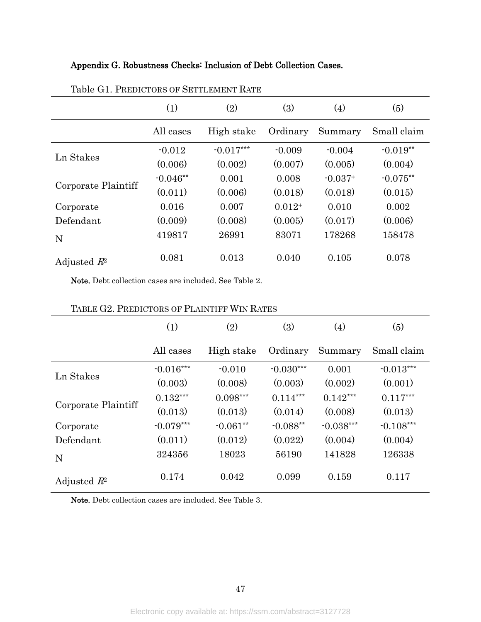## <span id="page-47-0"></span>Appendix G. Robustness Checks: Inclusion of Debt Collection Cases.

|                     | (1)        | (2)         | (3)      | (4)       | (5)         |
|---------------------|------------|-------------|----------|-----------|-------------|
|                     | All cases  | High stake  | Ordinary | Summary   | Small claim |
| Ln Stakes           | $-0.012$   | $-0.017***$ | $-0.009$ | $-0.004$  | $-0.019**$  |
|                     | (0.006)    | (0.002)     | (0.007)  | (0.005)   | (0.004)     |
|                     | $-0.046**$ | 0.001       | 0.008    | $-0.037+$ | $-0.075**$  |
| Corporate Plaintiff | (0.011)    | (0.006)     | (0.018)  | (0.018)   | (0.015)     |
| Corporate           | 0.016      | 0.007       | $0.012+$ | 0.010     | 0.002       |
| Defendant           | (0.009)    | (0.008)     | (0.005)  | (0.017)   | (0.006)     |
| N                   | 419817     | 26991       | 83071    | 178268    | 158478      |
| Adjusted $R^2$      | 0.081      | 0.013       | 0.040    | 0.105     | 0.078       |

### Table G1. PREDICTORS OF SETTLEMENT RATE

Note. Debt collection cases are included. See [Table 2.](#page-25-0)

|                     | (1)         | (2)        | (3)         | (4)         | (5)         |
|---------------------|-------------|------------|-------------|-------------|-------------|
|                     | All cases   | High stake | Ordinary    | Summary     | Small claim |
|                     | $-0.016***$ | $-0.010$   | $-0.030***$ | 0.001       | $-0.013***$ |
| Ln Stakes           | (0.003)     | (0.008)    | (0.003)     | (0.002)     | (0.001)     |
|                     | $0.132***$  | $0.098***$ | $0.114***$  | $0.142***$  | $0.117***$  |
| Corporate Plaintiff | (0.013)     | (0.013)    | (0.014)     | (0.008)     | (0.013)     |
| Corporate           | $-0.079***$ | $-0.061**$ | $-0.088**$  | $-0.038***$ | $-0.108***$ |
| Defendant           | (0.011)     | (0.012)    | (0.022)     | (0.004)     | (0.004)     |
| N                   | 324356      | 18023      | 56190       | 141828      | 126338      |
| Adjusted $R^2$      | 0.174       | 0.042      | 0.099       | 0.159       | 0.117       |

## TABLE G2. PREDICTORS OF PLAINTIFF WIN RATES

Note. Debt collection cases are included. See [Table 3.](#page-26-0)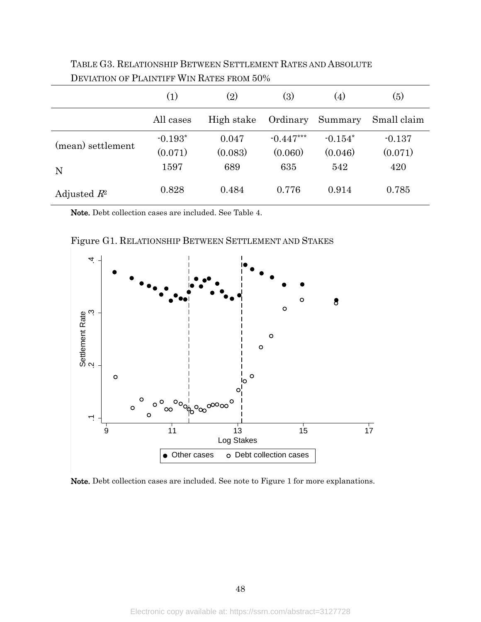|                   | (1)       | (2)        | (3)         | (4)       | (5)         |
|-------------------|-----------|------------|-------------|-----------|-------------|
|                   | All cases | High stake | Ordinary    | Summary   | Small claim |
| (mean) settlement | $-0.193*$ | 0.047      | $-0.447***$ | $-0.154*$ | $-0.137$    |
|                   | (0.071)   | (0.083)    | (0.060)     | (0.046)   | (0.071)     |
| N                 | 1597      | 689        | 635         | 542       | 420         |
| Adjusted $R^2$    | 0.828     | 0.484      | 0.776       | 0.914     | 0.785       |

TABLE G3. RELATIONSHIP BETWEEN SETTLEMENT RATES AND ABSOLUTE DEVIATION OF PLAINTIFF WIN RATES FROM 50%

Note. Debt collection cases are included. See [Table 4.](#page-27-0)



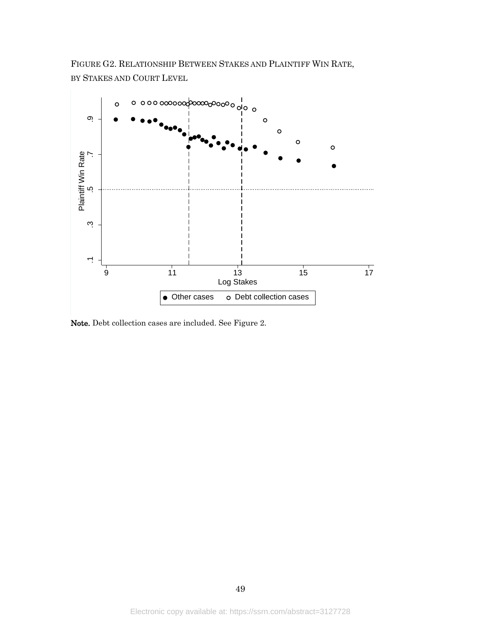FIGURE G2. RELATIONSHIP BETWEEN STAKES AND PLAINTIFF WIN RATE, BY STAKES AND COURT LEVEL

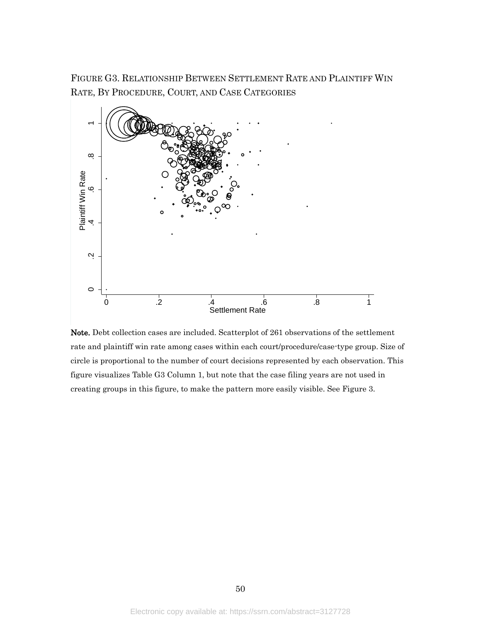FIGURE G3. RELATIONSHIP BETWEEN SETTLEMENT RATE AND PLAINTIFF WIN RATE, BY PROCEDURE, COURT, AND CASE CATEGORIES



Note. Debt collection cases are included. Scatterplot of 261 observations of the settlement rate and plaintiff win rate among cases within each court/procedure/case-type group. Size of circle is proportional to the number of court decisions represented by each observation. This figure visualizes Table G3 Column 1, but note that the case filing years are not used in creating groups in this figure, to make the pattern more easily visible. See [Figure 3.](#page-30-0)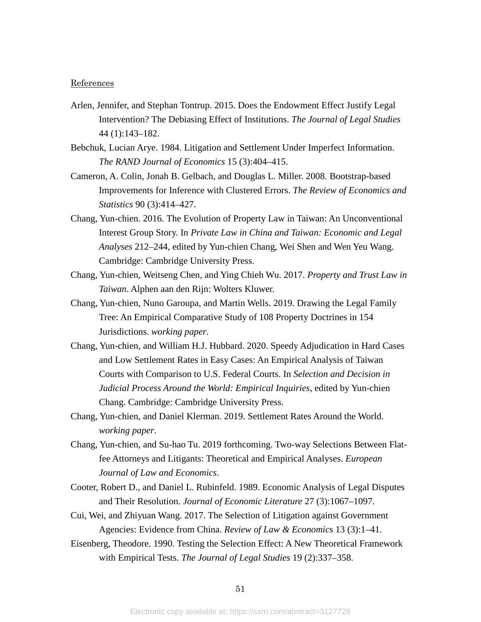#### References

- Arlen, Jennifer, and Stephan Tontrup. 2015. Does the Endowment Effect Justify Legal Intervention? The Debiasing Effect of Institutions. *The Journal of Legal Studies* 44 (1):143–182.
- Bebchuk, Lucian Arye. 1984. Litigation and Settlement Under Imperfect Information. *The RAND Journal of Economics* 15 (3):404–415.
- Cameron, A. Colin, Jonah B. Gelbach, and Douglas L. Miller. 2008. Bootstrap-based Improvements for Inference with Clustered Errors. *The Review of Economics and Statistics* 90 (3):414–427.
- Chang, Yun-chien. 2016. The Evolution of Property Law in Taiwan: An Unconventional Interest Group Story. In *Private Law in China and Taiwan: Economic and Legal Analyses* 212–244, edited by Yun-chien Chang, Wei Shen and Wen Yeu Wang. Cambridge: Cambridge University Press.
- Chang, Yun-chien, Weitseng Chen, and Ying Chieh Wu. 2017. *Property and Trust Law in Taiwan*. Alphen aan den Rijn: Wolters Kluwer.
- Chang, Yun-chien, Nuno Garoupa, and Martin Wells. 2019. Drawing the Legal Family Tree: An Empirical Comparative Study of 108 Property Doctrines in 154 Jurisdictions. *working paper*.
- Chang, Yun-chien, and William H.J. Hubbard. 2020. Speedy Adjudication in Hard Cases and Low Settlement Rates in Easy Cases: An Empirical Analysis of Taiwan Courts with Comparison to U.S. Federal Courts. In *Selection and Decision in Judicial Process Around the World: Empirical Inquiries*, edited by Yun-chien Chang. Cambridge: Cambridge University Press.
- Chang, Yun-chien, and Daniel Klerman. 2019. Settlement Rates Around the World. *working paper*.
- Chang, Yun-chien, and Su-hao Tu. 2019 forthcoming. Two-way Selections Between Flatfee Attorneys and Litigants: Theoretical and Empirical Analyses. *European Journal of Law and Economics*.
- Cooter, Robert D., and Daniel L. Rubinfeld. 1989. Economic Analysis of Legal Disputes and Their Resolution. *Journal of Economic Literature* 27 (3):1067–1097.
- Cui, Wei, and Zhiyuan Wang. 2017. The Selection of Litigation against Government Agencies: Evidence from China. *Review of Law & Economics* 13 (3):1–41.
- Eisenberg, Theodore. 1990. Testing the Selection Effect: A New Theoretical Framework with Empirical Tests. *The Journal of Legal Studies* 19 (2):337–358.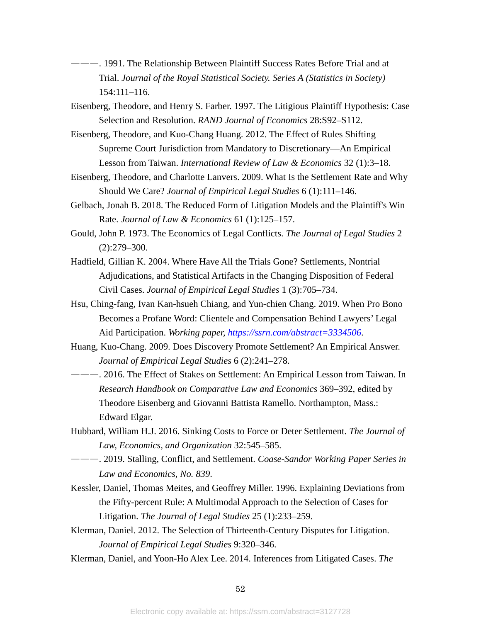- ———. 1991. The Relationship Between Plaintiff Success Rates Before Trial and at Trial. *Journal of the Royal Statistical Society. Series A (Statistics in Society)* 154:111–116.
- Eisenberg, Theodore, and Henry S. Farber. 1997. The Litigious Plaintiff Hypothesis: Case Selection and Resolution. *RAND Journal of Economics* 28:S92–S112.
- Eisenberg, Theodore, and Kuo-Chang Huang. 2012. The Effect of Rules Shifting Supreme Court Jurisdiction from Mandatory to Discretionary—An Empirical Lesson from Taiwan. *International Review of Law & Economics* 32 (1):3–18.
- Eisenberg, Theodore, and Charlotte Lanvers. 2009. What Is the Settlement Rate and Why Should We Care? *Journal of Empirical Legal Studies* 6 (1):111–146.
- Gelbach, Jonah B. 2018. The Reduced Form of Litigation Models and the Plaintiff's Win Rate. *Journal of Law & Economics* 61 (1):125–157.
- Gould, John P. 1973. The Economics of Legal Conflicts. *The Journal of Legal Studies* 2 (2):279–300.
- Hadfield, Gillian K. 2004. Where Have All the Trials Gone? Settlements, Nontrial Adjudications, and Statistical Artifacts in the Changing Disposition of Federal Civil Cases. *Journal of Empirical Legal Studies* 1 (3):705–734.
- Hsu, Ching-fang, Ivan Kan-hsueh Chiang, and Yun-chien Chang. 2019. When Pro Bono Becomes a Profane Word: Clientele and Compensation Behind Lawyers' Legal Aid Participation. *Working paper,<https://ssrn.com/abstract=3334506>*.
- Huang, Kuo-Chang. 2009. Does Discovery Promote Settlement? An Empirical Answer. *Journal of Empirical Legal Studies* 6 (2):241–278.
- ———. 2016. The Effect of Stakes on Settlement: An Empirical Lesson from Taiwan. In *Research Handbook on Comparative Law and Economics* 369–392, edited by Theodore Eisenberg and Giovanni Battista Ramello. Northampton, Mass.: Edward Elgar.
- Hubbard, William H.J. 2016. Sinking Costs to Force or Deter Settlement. *The Journal of Law, Economics, and Organization* 32:545–585.
- ———. 2019. Stalling, Conflict, and Settlement. *Coase-Sandor Working Paper Series in Law and Economics, No. 839*.
- Kessler, Daniel, Thomas Meites, and Geoffrey Miller. 1996. Explaining Deviations from the Fifty-percent Rule: A Multimodal Approach to the Selection of Cases for Litigation. *The Journal of Legal Studies* 25 (1):233–259.
- Klerman, Daniel. 2012. The Selection of Thirteenth-Century Disputes for Litigation. *Journal of Empirical Legal Studies* 9:320–346.
- Klerman, Daniel, and Yoon-Ho Alex Lee. 2014. Inferences from Litigated Cases. *The*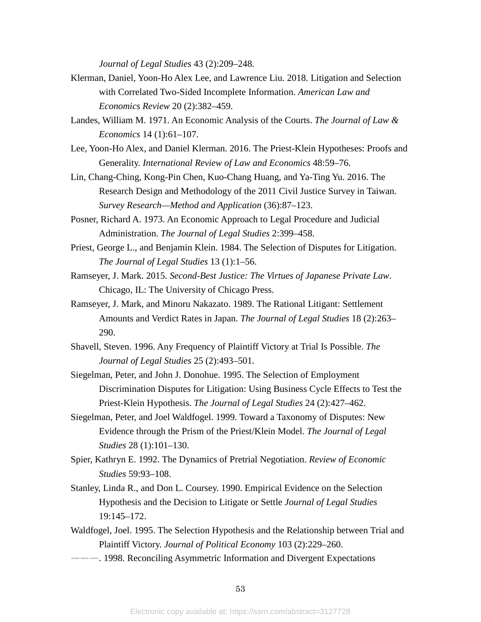*Journal of Legal Studies* 43 (2):209–248.

- Klerman, Daniel, Yoon-Ho Alex Lee, and Lawrence Liu. 2018. Litigation and Selection with Correlated Two-Sided Incomplete Information. *American Law and Economics Review* 20 (2):382–459.
- Landes, William M. 1971. An Economic Analysis of the Courts. *The Journal of Law & Economics* 14 (1):61–107.
- Lee, Yoon-Ho Alex, and Daniel Klerman. 2016. The Priest-Klein Hypotheses: Proofs and Generality. *International Review of Law and Economics* 48:59–76.
- Lin, Chang-Ching, Kong-Pin Chen, Kuo-Chang Huang, and Ya-Ting Yu. 2016. The Research Design and Methodology of the 2011 Civil Justice Survey in Taiwan. *Survey Research—Method and Application* (36):87–123.
- Posner, Richard A. 1973. An Economic Approach to Legal Procedure and Judicial Administration. *The Journal of Legal Studies* 2:399–458.
- Priest, George L., and Benjamin Klein. 1984. The Selection of Disputes for Litigation. *The Journal of Legal Studies* 13 (1):1–56.
- Ramseyer, J. Mark. 2015. *Second-Best Justice: The Virtues of Japanese Private Law*. Chicago, IL: The University of Chicago Press.
- Ramseyer, J. Mark, and Minoru Nakazato. 1989. The Rational Litigant: Settlement Amounts and Verdict Rates in Japan. *The Journal of Legal Studies* 18 (2):263– 290.
- Shavell, Steven. 1996. Any Frequency of Plaintiff Victory at Trial Is Possible. *The Journal of Legal Studies* 25 (2):493–501.
- Siegelman, Peter, and John J. Donohue. 1995. The Selection of Employment Discrimination Disputes for Litigation: Using Business Cycle Effects to Test the Priest-Klein Hypothesis. *The Journal of Legal Studies* 24 (2):427–462.
- Siegelman, Peter, and Joel Waldfogel. 1999. Toward a Taxonomy of Disputes: New Evidence through the Prism of the Priest/Klein Model. *The Journal of Legal Studies* 28 (1):101–130.
- Spier, Kathryn E. 1992. The Dynamics of Pretrial Negotiation. *Review of Economic Studies* 59:93–108.
- Stanley, Linda R., and Don L. Coursey. 1990. Empirical Evidence on the Selection Hypothesis and the Decision to Litigate or Settle *Journal of Legal Studies* 19:145–172.
- Waldfogel, Joel. 1995. The Selection Hypothesis and the Relationship between Trial and Plaintiff Victory. *Journal of Political Economy* 103 (2):229–260.
- ———. 1998. Reconciling Asymmetric Information and Divergent Expectations